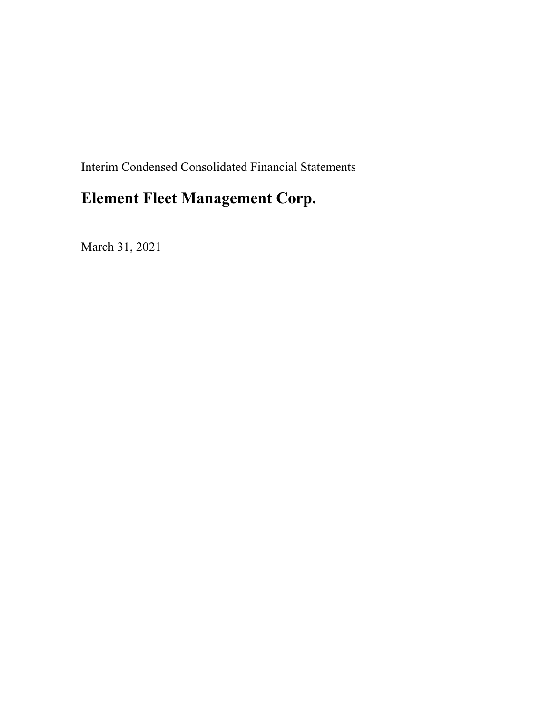Interim Condensed Consolidated Financial Statements

# **Element Fleet Management Corp.**

March 31, 2021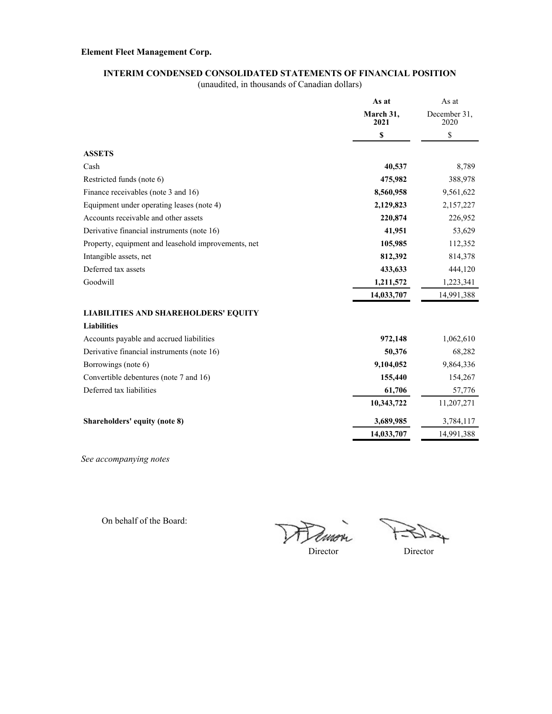### **INTERIM CONDENSED CONSOLIDATED STATEMENTS OF FINANCIAL POSITION**

(unaudited, in thousands of Canadian dollars)

|                                                     | As at             | As at                |
|-----------------------------------------------------|-------------------|----------------------|
|                                                     | March 31,<br>2021 | December 31,<br>2020 |
|                                                     | \$                | \$                   |
| <b>ASSETS</b>                                       |                   |                      |
| Cash                                                | 40,537            | 8,789                |
| Restricted funds (note 6)                           | 475,982           | 388,978              |
| Finance receivables (note 3 and 16)                 | 8,560,958         | 9,561,622            |
| Equipment under operating leases (note 4)           | 2,129,823         | 2,157,227            |
| Accounts receivable and other assets                | 220,874           | 226,952              |
| Derivative financial instruments (note 16)          | 41,951            | 53,629               |
| Property, equipment and leasehold improvements, net | 105,985           | 112,352              |
| Intangible assets, net                              | 812,392           | 814,378              |
| Deferred tax assets                                 | 433,633           | 444,120              |
| Goodwill                                            | 1,211,572         | 1,223,341            |
|                                                     | 14,033,707        | 14,991,388           |
| <b>LIABILITIES AND SHAREHOLDERS' EQUITY</b>         |                   |                      |
| <b>Liabilities</b>                                  |                   |                      |
| Accounts payable and accrued liabilities            | 972,148           | 1,062,610            |
| Derivative financial instruments (note 16)          | 50,376            | 68,282               |
| Borrowings (note 6)                                 | 9,104,052         | 9,864,336            |
| Convertible debentures (note 7 and 16)              | 155,440           | 154,267              |
| Deferred tax liabilities                            | 61,706            | 57,776               |
|                                                     | 10,343,722        | 11,207,271           |
| Shareholders' equity (note 8)                       | 3,689,985         | 3,784,117            |
|                                                     | 14,033,707        | 14,991,388           |
|                                                     |                   |                      |

*See accompanying notes*

On behalf of the Board:

Dimo  $\nu$ 

↬

Director Director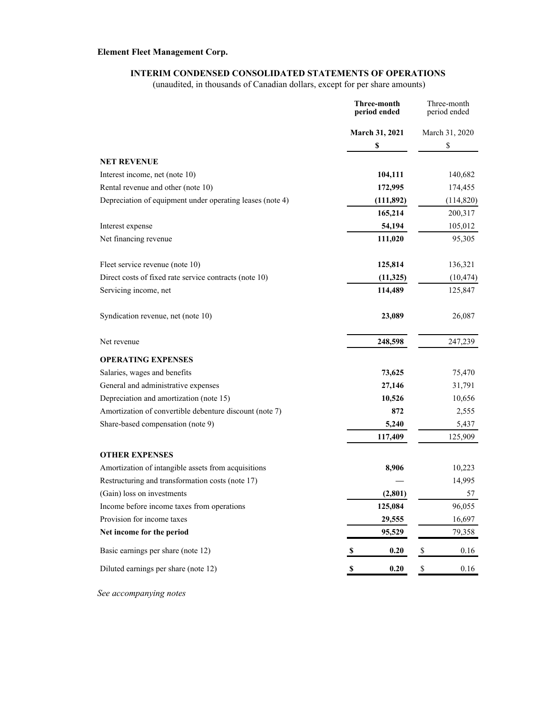### **INTERIM CONDENSED CONSOLIDATED STATEMENTS OF OPERATIONS**

(unaudited, in thousands of Canadian dollars, except for per share amounts)

|                                                           | Three-month<br>period ended | Three-month<br>period ended |
|-----------------------------------------------------------|-----------------------------|-----------------------------|
|                                                           | March 31, 2021              | March 31, 2020              |
|                                                           | \$                          | \$                          |
| <b>NET REVENUE</b>                                        |                             |                             |
| Interest income, net (note 10)                            | 104,111                     | 140,682                     |
| Rental revenue and other (note 10)                        | 172,995                     | 174,455                     |
| Depreciation of equipment under operating leases (note 4) | (111,892)                   | (114, 820)                  |
|                                                           | 165,214                     | 200,317                     |
| Interest expense                                          | 54,194                      | 105,012                     |
| Net financing revenue                                     | 111,020                     | 95,305                      |
| Fleet service revenue (note 10)                           | 125,814                     | 136,321                     |
| Direct costs of fixed rate service contracts (note 10)    | (11, 325)                   | (10, 474)                   |
| Servicing income, net                                     | 114,489                     | 125,847                     |
| Syndication revenue, net (note 10)                        | 23,089                      | 26,087                      |
| Net revenue                                               | 248,598                     | 247,239                     |
| <b>OPERATING EXPENSES</b>                                 |                             |                             |
| Salaries, wages and benefits                              | 73,625                      | 75,470                      |
| General and administrative expenses                       | 27,146                      | 31,791                      |
| Depreciation and amortization (note 15)                   | 10,526                      | 10,656                      |
| Amortization of convertible debenture discount (note 7)   | 872                         | 2,555                       |
| Share-based compensation (note 9)                         | 5,240                       | 5,437                       |
|                                                           | 117,409                     | 125,909                     |
| <b>OTHER EXPENSES</b>                                     |                             |                             |
| Amortization of intangible assets from acquisitions       | 8,906                       | 10,223                      |
| Restructuring and transformation costs (note 17)          |                             | 14,995                      |
| (Gain) loss on investments                                | (2, 801)                    | 57                          |
| Income before income taxes from operations                | 125,084                     | 96,055                      |
| Provision for income taxes                                | 29,555                      | 16,697                      |
| Net income for the period                                 | 95,529                      | 79,358                      |
| Basic earnings per share (note 12)                        | 0.20<br>$\mathbf{s}$        | \$<br>0.16                  |
| Diluted earnings per share (note 12)                      | 0.20<br>\$                  | $\$$<br>0.16                |

*See accompanying notes*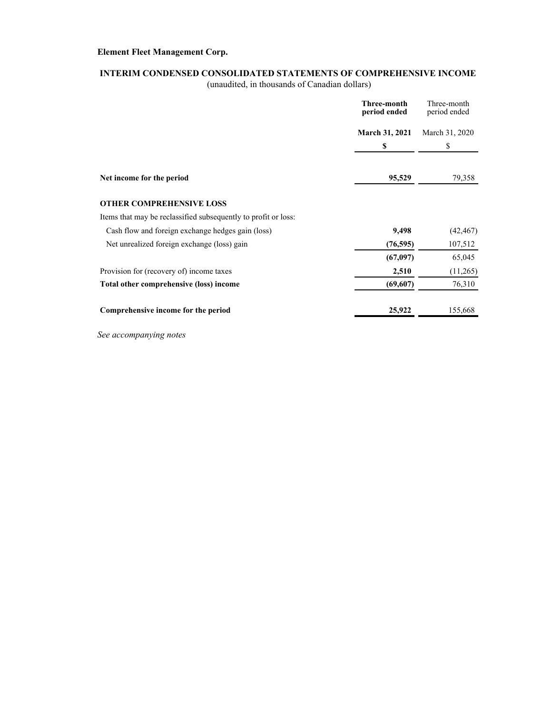### **INTERIM CONDENSED CONSOLIDATED STATEMENTS OF COMPREHENSIVE INCOME**

(unaudited, in thousands of Canadian dollars)

|                                                                | Three-month<br>period ended | Three-month<br>period ended |  |
|----------------------------------------------------------------|-----------------------------|-----------------------------|--|
|                                                                | <b>March 31, 2021</b>       | March 31, 2020              |  |
|                                                                | \$                          | \$                          |  |
| Net income for the period                                      | 95,529                      | 79,358                      |  |
| <b>OTHER COMPREHENSIVE LOSS</b>                                |                             |                             |  |
| Items that may be reclassified subsequently to profit or loss: |                             |                             |  |
| Cash flow and foreign exchange hedges gain (loss)              | 9,498                       | (42, 467)                   |  |
| Net unrealized foreign exchange (loss) gain                    | (76, 595)                   | 107,512                     |  |
|                                                                | (67,097)                    | 65,045                      |  |
| Provision for (recovery of) income taxes                       | 2,510                       | (11,265)                    |  |
| Total other comprehensive (loss) income                        | (69, 607)                   | 76,310                      |  |
| Comprehensive income for the period                            | 25,922                      | 155,668                     |  |

*See accompanying notes*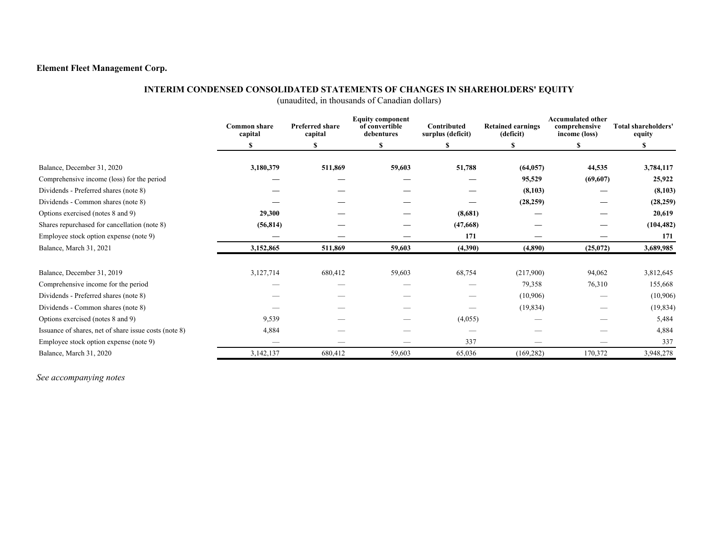### **INTERIM CONDENSED CONSOLIDATED STATEMENTS OF CHANGES IN SHAREHOLDERS' EQUITY**

(unaudited, in thousands of Canadian dollars)

|                                                       | <b>Common share</b><br>capital | <b>Preferred share</b><br>capital | <b>Equity component</b><br>of convertible<br>debentures | Contributed<br>surplus (deficit) | <b>Retained earnings</b><br>(deficit) | <b>Accumulated other</b><br>comprehensive<br>income (loss) | <b>Total shareholders'</b><br>equity |
|-------------------------------------------------------|--------------------------------|-----------------------------------|---------------------------------------------------------|----------------------------------|---------------------------------------|------------------------------------------------------------|--------------------------------------|
|                                                       |                                |                                   |                                                         |                                  |                                       |                                                            |                                      |
| Balance, December 31, 2020                            | 3,180,379                      | 511,869                           | 59,603                                                  | 51,788                           | (64, 057)                             | 44,535                                                     | 3,784,117                            |
| Comprehensive income (loss) for the period            |                                |                                   |                                                         |                                  | 95,529                                | (69,607)                                                   | 25,922                               |
| Dividends - Preferred shares (note 8)                 |                                |                                   |                                                         |                                  | (8,103)                               |                                                            | (8,103)                              |
| Dividends - Common shares (note 8)                    |                                |                                   |                                                         |                                  | (28, 259)                             |                                                            | (28, 259)                            |
| Options exercised (notes 8 and 9)                     | 29,300                         |                                   |                                                         | (8,681)                          |                                       |                                                            | 20,619                               |
| Shares repurchased for cancellation (note 8)          | (56, 814)                      |                                   |                                                         | (47,668)                         |                                       |                                                            | (104, 482)                           |
| Employee stock option expense (note 9)                |                                |                                   |                                                         | 171                              |                                       |                                                            | 171                                  |
| Balance, March 31, 2021                               | 3,152,865                      | 511,869                           | 59,603                                                  | (4,390)                          | (4,890)                               | (25,072)                                                   | 3,689,985                            |
| Balance, December 31, 2019                            | 3,127,714                      | 680,412                           | 59,603                                                  | 68,754                           | (217,900)                             | 94,062                                                     | 3,812,645                            |
| Comprehensive income for the period                   |                                |                                   |                                                         |                                  | 79,358                                | 76,310                                                     | 155,668                              |
| Dividends - Preferred shares (note 8)                 |                                |                                   |                                                         |                                  | (10,906)                              |                                                            | (10,906)                             |
| Dividends - Common shares (note 8)                    |                                |                                   |                                                         |                                  | (19, 834)                             |                                                            | (19, 834)                            |
| Options exercised (notes 8 and 9)                     | 9,539                          |                                   |                                                         | (4,055)                          |                                       |                                                            | 5,484                                |
| Issuance of shares, net of share issue costs (note 8) | 4,884                          |                                   |                                                         |                                  |                                       |                                                            | 4,884                                |
| Employee stock option expense (note 9)                |                                |                                   |                                                         | 337                              |                                       |                                                            | 337                                  |
| Balance, March 31, 2020                               | 3,142,137                      | 680,412                           | 59,603                                                  | 65,036                           | (169, 282)                            | 170,372                                                    | 3,948,278                            |

*See accompanying notes*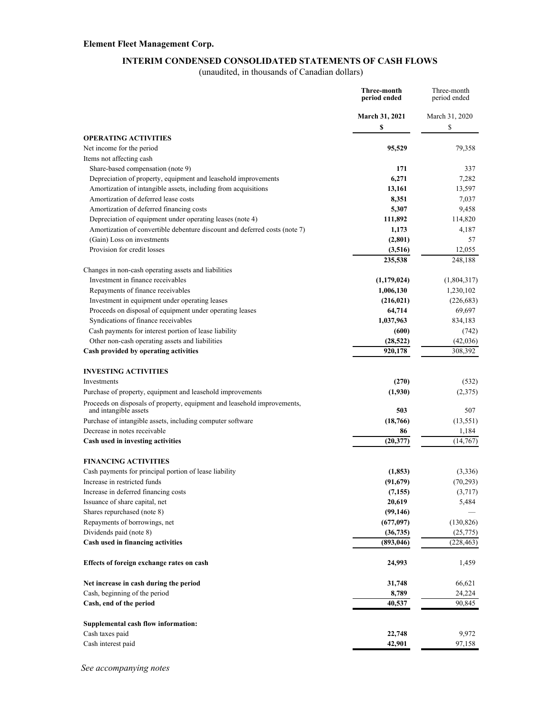#### **INTERIM CONDENSED CONSOLIDATED STATEMENTS OF CASH FLOWS**

(unaudited, in thousands of Canadian dollars)

|                                                                                                   | Three-month<br>period ended | Three-month<br>period ended |
|---------------------------------------------------------------------------------------------------|-----------------------------|-----------------------------|
|                                                                                                   | <b>March 31, 2021</b><br>\$ | March 31, 2020<br>\$        |
| <b>OPERATING ACTIVITIES</b>                                                                       |                             |                             |
| Net income for the period                                                                         | 95,529                      | 79,358                      |
| Items not affecting cash                                                                          |                             |                             |
| Share-based compensation (note 9)                                                                 | 171                         | 337                         |
| Depreciation of property, equipment and leasehold improvements                                    | 6,271                       | 7,282                       |
| Amortization of intangible assets, including from acquisitions                                    | 13,161                      | 13,597                      |
| Amortization of deferred lease costs                                                              | 8,351                       | 7,037                       |
| Amortization of deferred financing costs                                                          | 5,307                       | 9,458                       |
| Depreciation of equipment under operating leases (note 4)                                         | 111,892                     | 114,820                     |
| Amortization of convertible debenture discount and deferred costs (note 7)                        | 1,173                       | 4,187                       |
| (Gain) Loss on investments                                                                        | (2,801)                     | 57                          |
| Provision for credit losses                                                                       | (3,516)                     | 12,055                      |
|                                                                                                   | 235,538                     | 248,188                     |
| Changes in non-cash operating assets and liabilities                                              |                             |                             |
| Investment in finance receivables                                                                 | (1,179,024)                 | (1,804,317)                 |
| Repayments of finance receivables                                                                 | 1,006,130                   | 1,230,102                   |
| Investment in equipment under operating leases                                                    | (216, 021)                  | (226, 683)                  |
| Proceeds on disposal of equipment under operating leases                                          | 64,714                      | 69,697                      |
| Syndications of finance receivables                                                               | 1,037,963                   | 834,183                     |
| Cash payments for interest portion of lease liability                                             | (600)                       | (742)                       |
| Other non-cash operating assets and liabilities                                                   | (28, 522)                   | (42,036)                    |
| Cash provided by operating activities                                                             | 920.178                     | 308,392                     |
| <b>INVESTING ACTIVITIES</b>                                                                       |                             |                             |
| Investments                                                                                       | (270)                       | (532)                       |
| Purchase of property, equipment and leasehold improvements                                        | (1,930)                     | (2,375)                     |
| Proceeds on disposals of property, equipment and leasehold improvements,<br>and intangible assets | 503                         | 507                         |
| Purchase of intangible assets, including computer software                                        | (18, 766)                   | (13, 551)                   |
| Decrease in notes receivable                                                                      | 86                          | 1,184                       |
| Cash used in investing activities                                                                 | (20, 377)                   | (14,767)                    |
|                                                                                                   |                             |                             |
| <b>FINANCING ACTIVITIES</b>                                                                       |                             |                             |
| Cash payments for principal portion of lease liability                                            | (1, 853)                    | (3,336)                     |
| Increase in restricted funds                                                                      | (91, 679)                   | (70, 293)                   |
| Increase in deferred financing costs                                                              | (7, 155)                    | (3,717)                     |
| Issuance of share capital, net                                                                    | 20,619                      | 5,484                       |
| Shares repurchased (note 8)                                                                       | (99, 146)                   |                             |
| Repayments of borrowings, net                                                                     | (677, 097)                  | (130, 826)                  |
| Dividends paid (note 8)                                                                           | (36, 735)                   | (25, 775)                   |
| Cash used in financing activities                                                                 | (893, 046)                  | (228, 463)                  |
| Effects of foreign exchange rates on cash                                                         | 24,993                      | 1,459                       |
| Net increase in cash during the period                                                            | 31,748                      | 66,621                      |
| Cash, beginning of the period                                                                     | 8,789                       | 24,224                      |
| Cash, end of the period                                                                           | 40,537                      | 90,845                      |
|                                                                                                   |                             |                             |
| Supplemental cash flow information:                                                               |                             |                             |
| Cash taxes paid                                                                                   | 22,748                      | 9,972                       |
| Cash interest paid                                                                                | 42,901                      | 97,158                      |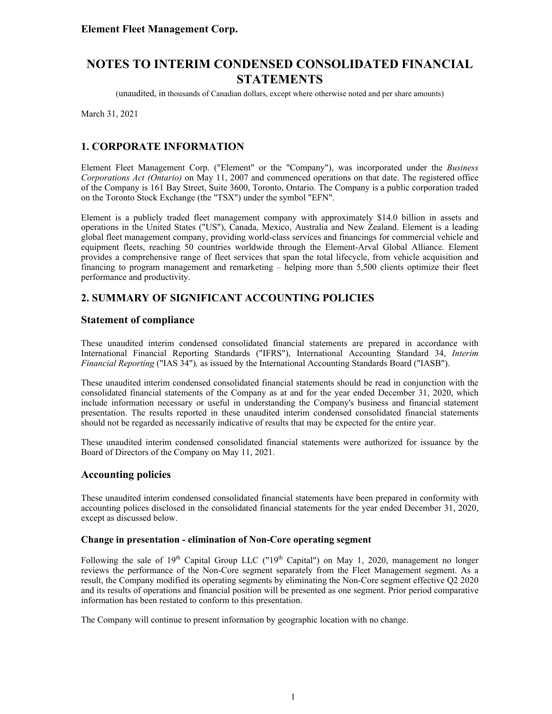(unaudited, in thousands of Canadian dollars, except where otherwise noted and per share amounts)

March 31, 2021

### **1. CORPORATE INFORMATION**

Element Fleet Management Corp. ("Element" or the "Company"), was incorporated under the *Business Corporations Act (Ontario)* on May 11, 2007 and commenced operations on that date. The registered office of the Company is 161 Bay Street, Suite 3600, Toronto, Ontario. The Company is a public corporation traded on the Toronto Stock Exchange (the "TSX") under the symbol "EFN".

Element is a publicly traded fleet management company with approximately \$14.0 billion in assets and operations in the United States ("US"), Canada, Mexico, Australia and New Zealand. Element is a leading global fleet management company, providing world-class services and financings for commercial vehicle and equipment fleets, reaching 50 countries worldwide through the Element-Arval Global Alliance. Element provides a comprehensive range of fleet services that span the total lifecycle, from vehicle acquisition and financing to program management and remarketing – helping more than 5,500 clients optimize their fleet performance and productivity.

### **2. SUMMARY OF SIGNIFICANT ACCOUNTING POLICIES**

### **Statement of compliance**

These unaudited interim condensed consolidated financial statements are prepared in accordance with International Financial Reporting Standards ("IFRS"), International Accounting Standard 34, *Interim Financial Reporting* ("IAS 34")*,* as issued by the International Accounting Standards Board ("IASB").

These unaudited interim condensed consolidated financial statements should be read in conjunction with the consolidated financial statements of the Company as at and for the year ended December 31, 2020, which include information necessary or useful in understanding the Company's business and financial statement presentation. The results reported in these unaudited interim condensed consolidated financial statements should not be regarded as necessarily indicative of results that may be expected for the entire year.

These unaudited interim condensed consolidated financial statements were authorized for issuance by the Board of Directors of the Company on May 11, 2021.

### **Accounting policies**

These unaudited interim condensed consolidated financial statements have been prepared in conformity with accounting polices disclosed in the consolidated financial statements for the year ended December 31, 2020, except as discussed below.

#### **Change in presentation - elimination of Non-Core operating segment**

Following the sale of  $19<sup>th</sup>$  Capital Group LLC (" $19<sup>th</sup>$  Capital") on May 1, 2020, management no longer reviews the performance of the Non-Core segment separately from the Fleet Management segment. As a result, the Company modified its operating segments by eliminating the Non-Core segment effective Q2 2020 and its results of operations and financial position will be presented as one segment. Prior period comparative information has been restated to conform to this presentation.

The Company will continue to present information by geographic location with no change.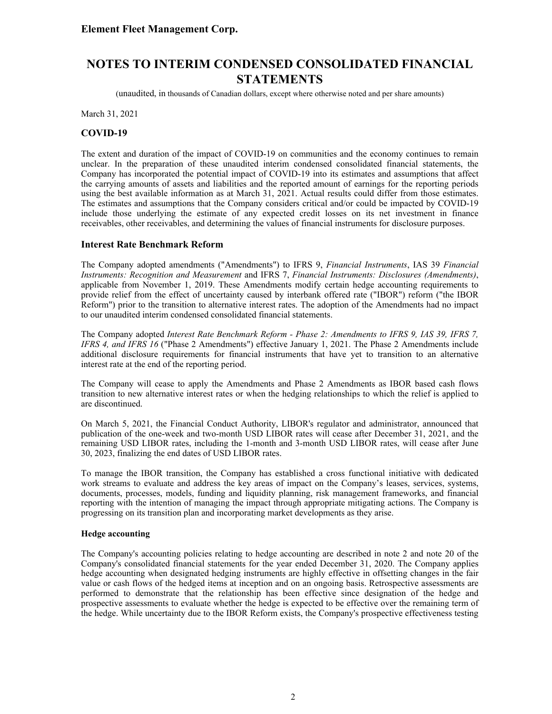(unaudited, in thousands of Canadian dollars, except where otherwise noted and per share amounts)

March 31, 2021

#### **COVID-19**

The extent and duration of the impact of COVID-19 on communities and the economy continues to remain unclear. In the preparation of these unaudited interim condensed consolidated financial statements, the Company has incorporated the potential impact of COVID-19 into its estimates and assumptions that affect the carrying amounts of assets and liabilities and the reported amount of earnings for the reporting periods using the best available information as at March 31, 2021. Actual results could differ from those estimates. The estimates and assumptions that the Company considers critical and/or could be impacted by COVID-19 include those underlying the estimate of any expected credit losses on its net investment in finance receivables, other receivables, and determining the values of financial instruments for disclosure purposes.

#### **Interest Rate Benchmark Reform**

The Company adopted amendments ("Amendments") to IFRS 9, *Financial Instruments*, IAS 39 *Financial Instruments: Recognition and Measurement* and IFRS 7, *Financial Instruments: Disclosures (Amendments)*, applicable from November 1, 2019. These Amendments modify certain hedge accounting requirements to provide relief from the effect of uncertainty caused by interbank offered rate ("IBOR") reform ("the IBOR Reform") prior to the transition to alternative interest rates. The adoption of the Amendments had no impact to our unaudited interim condensed consolidated financial statements.

The Company adopted *Interest Rate Benchmark Reform - Phase 2: Amendments to IFRS 9, IAS 39, IFRS 7, IFRS 4, and IFRS 16* ("Phase 2 Amendments") effective January 1, 2021. The Phase 2 Amendments include additional disclosure requirements for financial instruments that have yet to transition to an alternative interest rate at the end of the reporting period.

The Company will cease to apply the Amendments and Phase 2 Amendments as IBOR based cash flows transition to new alternative interest rates or when the hedging relationships to which the relief is applied to are discontinued.

On March 5, 2021, the Financial Conduct Authority, LIBOR's regulator and administrator, announced that publication of the one-week and two-month USD LIBOR rates will cease after December 31, 2021, and the remaining USD LIBOR rates, including the 1-month and 3-month USD LIBOR rates, will cease after June 30, 2023, finalizing the end dates of USD LIBOR rates.

To manage the IBOR transition, the Company has established a cross functional initiative with dedicated work streams to evaluate and address the key areas of impact on the Company's leases, services, systems, documents, processes, models, funding and liquidity planning, risk management frameworks, and financial reporting with the intention of managing the impact through appropriate mitigating actions. The Company is progressing on its transition plan and incorporating market developments as they arise.

#### **Hedge accounting**

The Company's accounting policies relating to hedge accounting are described in note 2 and note 20 of the Company's consolidated financial statements for the year ended December 31, 2020. The Company applies hedge accounting when designated hedging instruments are highly effective in offsetting changes in the fair value or cash flows of the hedged items at inception and on an ongoing basis. Retrospective assessments are performed to demonstrate that the relationship has been effective since designation of the hedge and prospective assessments to evaluate whether the hedge is expected to be effective over the remaining term of the hedge. While uncertainty due to the IBOR Reform exists, the Company's prospective effectiveness testing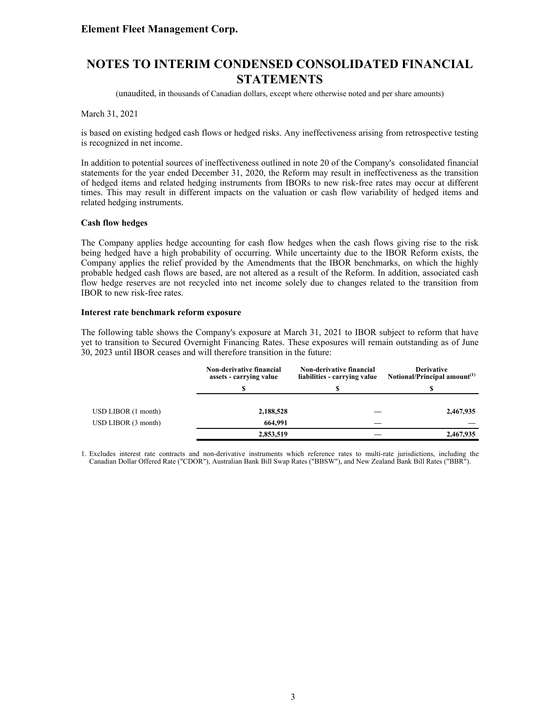# **NOTES TO INTERIM CONDENSED CONSOLIDATED FINANCIAL STATEMENTS**

(unaudited, in thousands of Canadian dollars, except where otherwise noted and per share amounts)

March 31, 2021

is based on existing hedged cash flows or hedged risks. Any ineffectiveness arising from retrospective testing is recognized in net income.

In addition to potential sources of ineffectiveness outlined in note 20 of the Company's consolidated financial statements for the year ended December 31, 2020, the Reform may result in ineffectiveness as the transition of hedged items and related hedging instruments from IBORs to new risk-free rates may occur at different times. This may result in different impacts on the valuation or cash flow variability of hedged items and related hedging instruments.

#### **Cash flow hedges**

The Company applies hedge accounting for cash flow hedges when the cash flows giving rise to the risk being hedged have a high probability of occurring. While uncertainty due to the IBOR Reform exists, the Company applies the relief provided by the Amendments that the IBOR benchmarks, on which the highly probable hedged cash flows are based, are not altered as a result of the Reform. In addition, associated cash flow hedge reserves are not recycled into net income solely due to changes related to the transition from IBOR to new risk-free rates.

#### **Interest rate benchmark reform exposure**

The following table shows the Company's exposure at March 31, 2021 to IBOR subject to reform that have yet to transition to Secured Overnight Financing Rates. These exposures will remain outstanding as of June 30, 2023 until IBOR ceases and will therefore transition in the future:

|                     | <b>Non-derivative financial</b><br>assets - carrying value | <b>Non-derivative financial</b><br>liabilities - carrying value | <b>Derivative</b><br>Notional/Principal amount <sup>(1)</sup> |
|---------------------|------------------------------------------------------------|-----------------------------------------------------------------|---------------------------------------------------------------|
|                     | \$                                                         | S                                                               | S                                                             |
| USD LIBOR(1 month)  | 2,188,528                                                  |                                                                 | 2,467,935                                                     |
| USD LIBOR (3 month) | 664,991                                                    |                                                                 |                                                               |
|                     | 2,853,519                                                  |                                                                 | 2,467,935                                                     |

1. Excludes interest rate contracts and non-derivative instruments which reference rates to multi-rate jurisdictions, including the Canadian Dollar Offered Rate ("CDOR"), Australian Bank Bill Swap Rates ("BBSW"), and New Zealand Bank Bill Rates ("BBR").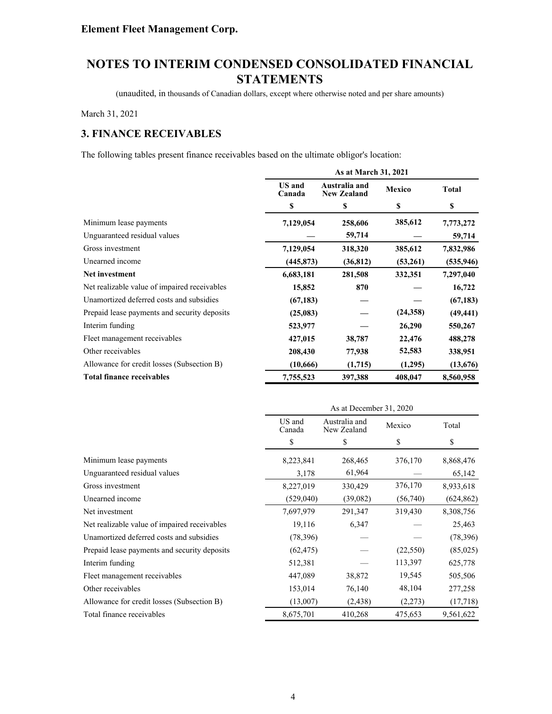(unaudited, in thousands of Canadian dollars, except where otherwise noted and per share amounts)

March 31, 2021

### **3. FINANCE RECEIVABLES**

The following tables present finance receivables based on the ultimate obligor's location:

|                                              | As at March 31, 2021    |                                     |               |              |
|----------------------------------------------|-------------------------|-------------------------------------|---------------|--------------|
|                                              | <b>US</b> and<br>Canada | Australia and<br><b>New Zealand</b> | <b>Mexico</b> | <b>Total</b> |
|                                              | \$                      | \$                                  | \$            | \$           |
| Minimum lease payments                       | 7,129,054               | 258,606                             | 385,612       | 7,773,272    |
| Unguaranteed residual values                 |                         | 59,714                              |               | 59,714       |
| Gross investment                             | 7,129,054               | 318,320                             | 385,612       | 7,832,986    |
| Unearned income                              | (445, 873)              | (36, 812)                           | (53,261)      | (535, 946)   |
| Net investment                               | 6,683,181               | 281,508                             | 332,351       | 7,297,040    |
| Net realizable value of impaired receivables | 15,852                  | 870                                 |               | 16,722       |
| Unamortized deferred costs and subsidies     | (67, 183)               |                                     |               | (67, 183)    |
| Prepaid lease payments and security deposits | (25,083)                |                                     | (24, 358)     | (49, 441)    |
| Interim funding                              | 523,977                 |                                     | 26,290        | 550,267      |
| Fleet management receivables                 | 427,015                 | 38,787                              | 22,476        | 488,278      |
| Other receivables                            | 208,430                 | 77,938                              | 52,583        | 338,951      |
| Allowance for credit losses (Subsection B)   | (10,666)                | (1,715)                             | (1,295)       | (13,676)     |
| <b>Total finance receivables</b>             | 7,755,523               | 397,388                             | 408,047       | 8,560,958    |

|                                              | As at December 31, 2020 |                              |           |            |
|----------------------------------------------|-------------------------|------------------------------|-----------|------------|
|                                              | US and<br>Canada        | Australia and<br>New Zealand | Mexico    | Total      |
|                                              | \$                      | \$                           | \$        | \$         |
| Minimum lease payments                       | 8,223,841               | 268,465                      | 376,170   | 8,868,476  |
| Unguaranteed residual values                 | 3,178                   | 61,964                       |           | 65,142     |
| Gross investment                             | 8,227,019               | 330,429                      | 376,170   | 8,933,618  |
| Unearned income                              | (529,040)               | (39,082)                     | (56,740)  | (624, 862) |
| Net investment                               | 7,697,979               | 291,347                      | 319,430   | 8,308,756  |
| Net realizable value of impaired receivables | 19,116                  | 6,347                        |           | 25,463     |
| Unamortized deferred costs and subsidies     | (78,396)                |                              |           | (78, 396)  |
| Prepaid lease payments and security deposits | (62, 475)               |                              | (22, 550) | (85,025)   |
| Interim funding                              | 512,381                 |                              | 113,397   | 625,778    |
| Fleet management receivables                 | 447,089                 | 38,872                       | 19,545    | 505,506    |
| Other receivables                            | 153,014                 | 76,140                       | 48,104    | 277,258    |
| Allowance for credit losses (Subsection B)   | (13,007)                | (2, 438)                     | (2,273)   | (17,718)   |
| Total finance receivables                    | 8,675,701               | 410,268                      | 475,653   | 9,561,622  |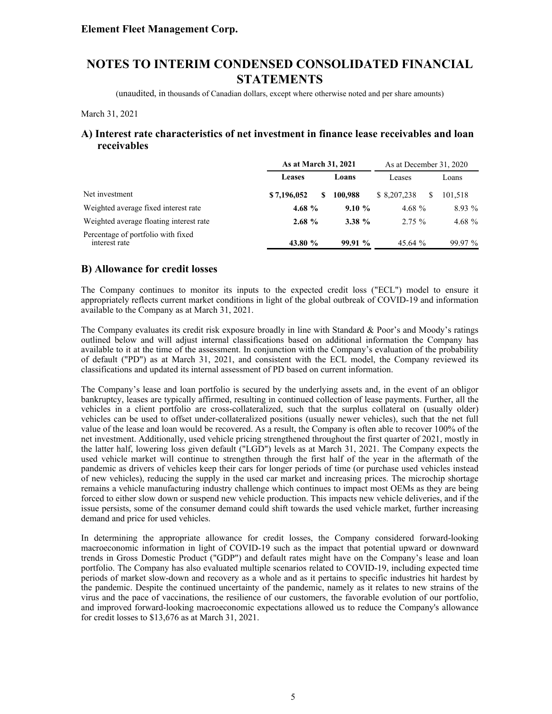(unaudited, in thousands of Canadian dollars, except where otherwise noted and per share amounts)

March 31, 2021

### **A) Interest rate characteristics of net investment in finance lease receivables and loan receivables**

|                                                     | As at March 31, 2021 |           | As at December 31, 2020 |           |
|-----------------------------------------------------|----------------------|-----------|-------------------------|-----------|
|                                                     | <b>Leases</b>        | Loans     | Leases                  | Loans     |
| Net investment                                      | \$7,196,052<br>S     | 100.988   | \$ 8,207,238            | 101.518   |
| Weighted average fixed interest rate                | 4.68 $%$             | 9.10%     | 4.68 $%$                | $8.93\%$  |
| Weighted average floating interest rate             | 2.68%                | $3.38 \%$ | $2.75 \%$               | 4.68 $%$  |
| Percentage of portfolio with fixed<br>interest rate | 43.80 %              | 99.91%    | 45.64 %                 | $99.97\%$ |

### **B) Allowance for credit losses**

The Company continues to monitor its inputs to the expected credit loss ("ECL") model to ensure it appropriately reflects current market conditions in light of the global outbreak of COVID-19 and information available to the Company as at March 31, 2021.

The Company evaluates its credit risk exposure broadly in line with Standard & Poor's and Moody's ratings outlined below and will adjust internal classifications based on additional information the Company has available to it at the time of the assessment. In conjunction with the Company's evaluation of the probability of default ("PD") as at March 31, 2021, and consistent with the ECL model, the Company reviewed its classifications and updated its internal assessment of PD based on current information.

The Company's lease and loan portfolio is secured by the underlying assets and, in the event of an obligor bankruptcy, leases are typically affirmed, resulting in continued collection of lease payments. Further, all the vehicles in a client portfolio are cross-collateralized, such that the surplus collateral on (usually older) vehicles can be used to offset under-collateralized positions (usually newer vehicles), such that the net full value of the lease and loan would be recovered. As a result, the Company is often able to recover 100% of the net investment. Additionally, used vehicle pricing strengthened throughout the first quarter of 2021, mostly in the latter half, lowering loss given default ("LGD") levels as at March 31, 2021. The Company expects the used vehicle market will continue to strengthen through the first half of the year in the aftermath of the pandemic as drivers of vehicles keep their cars for longer periods of time (or purchase used vehicles instead of new vehicles), reducing the supply in the used car market and increasing prices. The microchip shortage remains a vehicle manufacturing industry challenge which continues to impact most OEMs as they are being forced to either slow down or suspend new vehicle production. This impacts new vehicle deliveries, and if the issue persists, some of the consumer demand could shift towards the used vehicle market, further increasing demand and price for used vehicles.

In determining the appropriate allowance for credit losses, the Company considered forward-looking macroeconomic information in light of COVID-19 such as the impact that potential upward or downward trends in Gross Domestic Product ("GDP") and default rates might have on the Company's lease and loan portfolio. The Company has also evaluated multiple scenarios related to COVID-19, including expected time periods of market slow-down and recovery as a whole and as it pertains to specific industries hit hardest by the pandemic. Despite the continued uncertainty of the pandemic, namely as it relates to new strains of the virus and the pace of vaccinations, the resilience of our customers, the favorable evolution of our portfolio, and improved forward-looking macroeconomic expectations allowed us to reduce the Company's allowance for credit losses to \$13,676 as at March 31, 2021.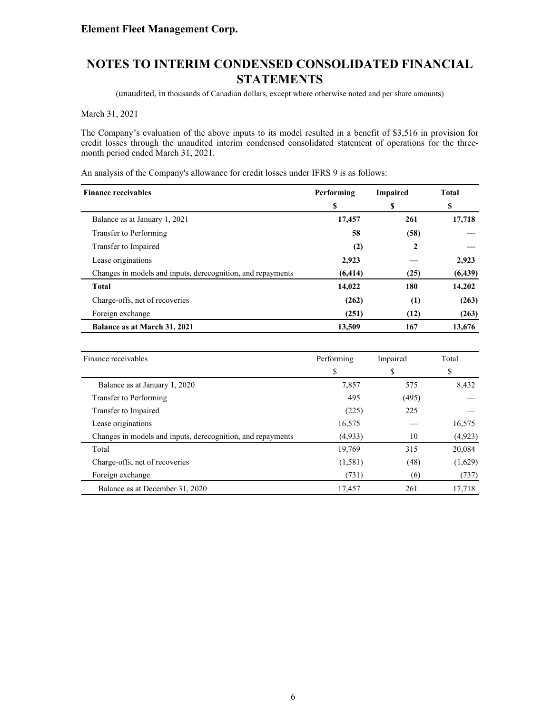(unaudited, in thousands of Canadian dollars, except where otherwise noted and per share amounts)

March 31, 2021

The Company's evaluation of the above inputs to its model resulted in a benefit of \$3,516 in provision for credit losses through the unaudited interim condensed consolidated statement of operations for the threemonth period ended March 31, 2021.

An analysis of the Company's allowance for credit losses under IFRS 9 is as follows:

| <b>Finance receivables</b>                                  | Performing | <b>Impaired</b> | <b>Total</b> |
|-------------------------------------------------------------|------------|-----------------|--------------|
|                                                             | S          | \$              | S            |
| Balance as at January 1, 2021                               | 17,457     | 261             | 17,718       |
| Transfer to Performing                                      | 58         | (58)            |              |
| Transfer to Impaired                                        | (2)        | 2               |              |
| Lease originations                                          | 2,923      |                 | 2,923        |
| Changes in models and inputs, derecognition, and repayments | (6, 414)   | (25)            | (6, 439)     |
| <b>Total</b>                                                | 14,022     | 180             | 14,202       |
| Charge-offs, net of recoveries                              | (262)      | (1)             | (263)        |
| Foreign exchange                                            | (251)      | (12)            | (263)        |
| Balance as at March 31, 2021                                | 13,509     | 167             | 13,676       |

| Finance receivables                                         | Performing | Impaired | Total    |
|-------------------------------------------------------------|------------|----------|----------|
|                                                             | \$         | \$       | S        |
| Balance as at January 1, 2020                               | 7,857      | 575      | 8,432    |
| Transfer to Performing                                      | 495        | (495)    |          |
| Transfer to Impaired                                        | (225)      | 225      |          |
| Lease originations                                          | 16,575     |          | 16,575   |
| Changes in models and inputs, derecognition, and repayments | (4,933)    | 10       | (4, 923) |
| Total                                                       | 19,769     | 315      | 20,084   |
| Charge-offs, net of recoveries                              | (1,581)    | (48)     | (1,629)  |
| Foreign exchange                                            | (731)      | (6)      | (737)    |
| Balance as at December 31, 2020                             | 17,457     | 261      | 17,718   |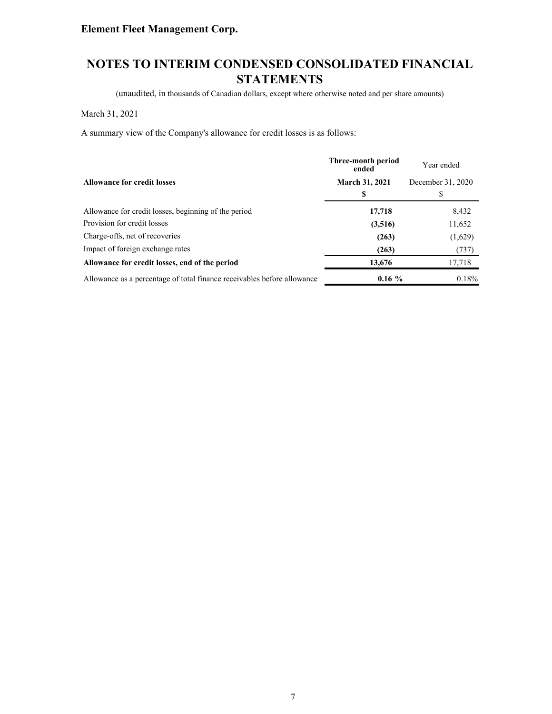# **NOTES TO INTERIM CONDENSED CONSOLIDATED FINANCIAL STATEMENTS**

(unaudited, in thousands of Canadian dollars, except where otherwise noted and per share amounts)

March 31, 2021

A summary view of the Company's allowance for credit losses is as follows:

|                                                                         | Three-month period<br>ended | Year ended        |
|-------------------------------------------------------------------------|-----------------------------|-------------------|
| <b>Allowance for credit losses</b>                                      | <b>March 31, 2021</b>       | December 31, 2020 |
|                                                                         |                             | S                 |
| Allowance for credit losses, beginning of the period                    | 17,718                      | 8,432             |
| Provision for credit losses                                             | (3,516)                     | 11,652            |
| Charge-offs, net of recoveries                                          | (263)                       | (1,629)           |
| Impact of foreign exchange rates                                        | (263)                       | (737)             |
| Allowance for credit losses, end of the period                          | 13,676                      | 17,718            |
| Allowance as a percentage of total finance receivables before allowance | $0.16\%$                    | $0.18\%$          |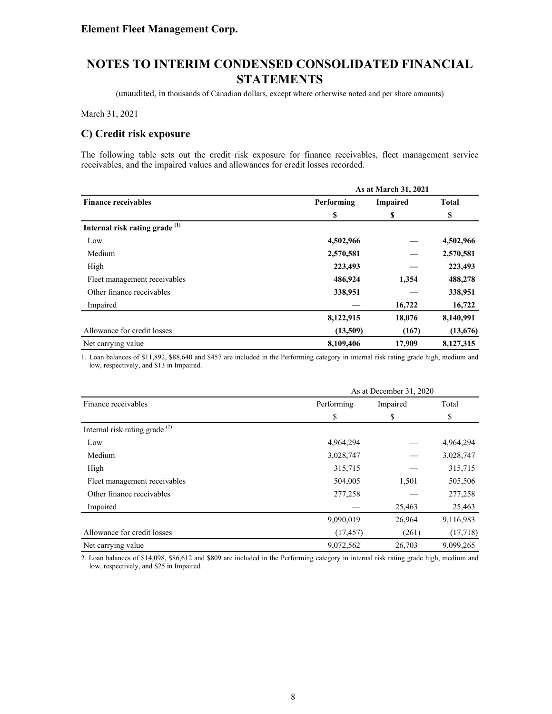(unaudited, in thousands of Canadian dollars, except where otherwise noted and per share amounts)

March 31, 2021

### **C) Credit risk exposure**

The following table sets out the credit risk exposure for finance receivables, fleet management service receivables, and the impaired values and allowances for credit losses recorded.

|                                           |            | As at March 31, 2021 |              |
|-------------------------------------------|------------|----------------------|--------------|
| <b>Finance receivables</b>                | Performing | <b>Impaired</b>      | <b>Total</b> |
|                                           | \$         | \$                   | \$           |
| Internal risk rating grade <sup>(1)</sup> |            |                      |              |
| Low                                       | 4,502,966  |                      | 4,502,966    |
| Medium                                    | 2,570,581  |                      | 2,570,581    |
| High                                      | 223,493    |                      | 223,493      |
| Fleet management receivables              | 486,924    | 1,354                | 488,278      |
| Other finance receivables                 | 338,951    |                      | 338,951      |
| Impaired                                  |            | 16,722               | 16,722       |
|                                           | 8,122,915  | 18,076               | 8,140,991    |
| Allowance for credit losses               | (13,509)   | (167)                | (13,676)     |
| Net carrying value                        | 8,109,406  | 17,909               | 8,127,315    |

1. Loan balances of \$11,892, \$88,640 and \$457 are included in the Performing category in internal risk rating grade high, medium and low, respectively, and \$13 in Impaired.

|                                  |            | As at December 31, 2020 |           |  |  |
|----------------------------------|------------|-------------------------|-----------|--|--|
| Finance receivables              | Performing | Impaired                | Total     |  |  |
|                                  | \$         | \$                      | \$        |  |  |
| Internal risk rating grade $(2)$ |            |                         |           |  |  |
| Low                              | 4,964,294  |                         | 4,964,294 |  |  |
| Medium                           | 3,028,747  |                         | 3,028,747 |  |  |
| High                             | 315,715    |                         | 315,715   |  |  |
| Fleet management receivables     | 504,005    | 1,501                   | 505,506   |  |  |
| Other finance receivables        | 277,258    |                         | 277,258   |  |  |
| Impaired                         |            | 25,463                  | 25,463    |  |  |
|                                  | 9,090,019  | 26,964                  | 9,116,983 |  |  |
| Allowance for credit losses      | (17, 457)  | (261)                   | (17,718)  |  |  |
| Net carrying value               | 9,072,562  | 26,703                  | 9,099,265 |  |  |

2. Loan balances of \$14,098, \$86,612 and \$809 are included in the Performing category in internal risk rating grade high, medium and low, respectively, and \$25 in Impaired.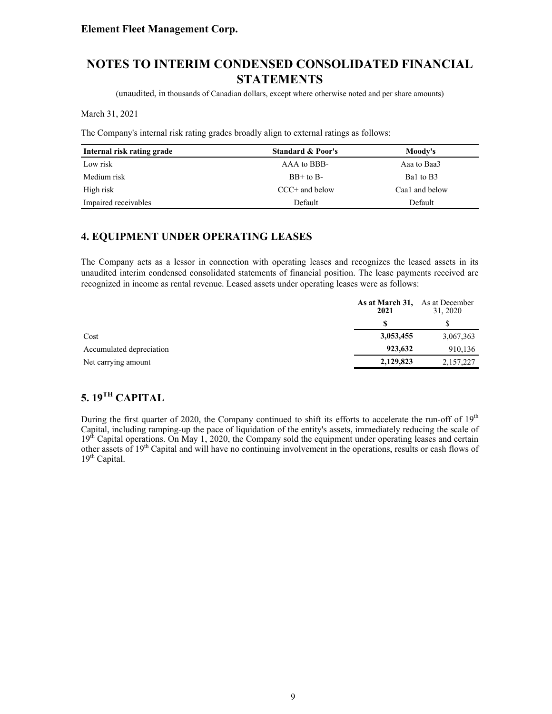# **NOTES TO INTERIM CONDENSED CONSOLIDATED FINANCIAL STATEMENTS**

(unaudited, in thousands of Canadian dollars, except where otherwise noted and per share amounts)

March 31, 2021

The Company's internal risk rating grades broadly align to external ratings as follows:

| Internal risk rating grade | <b>Standard &amp; Poor's</b> | Moody's        |
|----------------------------|------------------------------|----------------|
| Low risk                   | AAA to BBB-                  | Aaa to Baa3    |
| Medium risk                | $BB+$ to $B-$                | Bal to B3      |
| High risk                  | $CCC+$ and below             | Caa1 and below |
| Impaired receivables       | Default                      | Default        |

### **4. EQUIPMENT UNDER OPERATING LEASES**

The Company acts as a lessor in connection with operating leases and recognizes the leased assets in its unaudited interim condensed consolidated statements of financial position. The lease payments received are recognized in income as rental revenue. Leased assets under operating leases were as follows:

|                          | As at March 31, As at December<br>2021 | 31, 2020  |
|--------------------------|----------------------------------------|-----------|
|                          |                                        |           |
| Cost                     | 3,053,455                              | 3,067,363 |
| Accumulated depreciation | 923.632                                | 910,136   |
| Net carrying amount      | 2,129,823                              | 2,157,227 |

# **5. 19TH CAPITAL**

During the first quarter of 2020, the Company continued to shift its efforts to accelerate the run-off of 19<sup>th</sup> Capital, including ramping-up the pace of liquidation of the entity's assets, immediately reducing the scale of 19<sup>th</sup> Capital operations. On May 1, 2020, the Company sold the equipment under operating leases and certain other assets of 19<sup>th</sup> Capital and will have no continuing involvement in the operations, results or cash flows of  $19<sup>th</sup>$  Capital.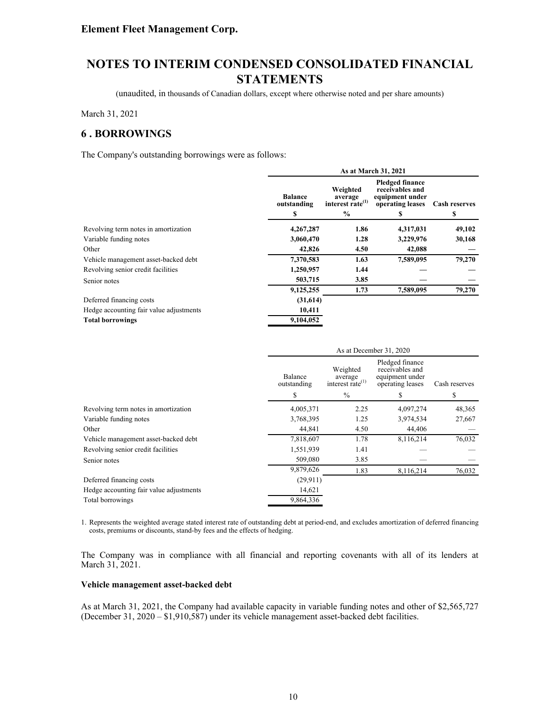(unaudited, in thousands of Canadian dollars, except where otherwise noted and per share amounts)

March 31, 2021

### **6 . BORROWINGS**

The Company's outstanding borrowings were as follows:

|                                         |                                     |                                                                      | As at March 31, 2021                                                                  |                            |
|-----------------------------------------|-------------------------------------|----------------------------------------------------------------------|---------------------------------------------------------------------------------------|----------------------------|
|                                         | <b>Balance</b><br>outstanding<br>\$ | Weighted<br>average<br>interest rate <sup>(1)</sup><br>$\frac{6}{9}$ | <b>Pledged finance</b><br>receivables and<br>equipment under<br>operating leases<br>S | <b>Cash reserves</b><br>\$ |
| Revolving term notes in amortization    | 4,267,287                           | 1.86                                                                 | 4,317,031                                                                             | 49,102                     |
| Variable funding notes                  | 3,060,470                           | 1.28                                                                 | 3,229,976                                                                             | 30,168                     |
| Other                                   | 42,826                              | 4.50                                                                 | 42,088                                                                                |                            |
| Vehicle management asset-backed debt    | 7,370,583                           | 1.63                                                                 | 7,589,095                                                                             | 79,270                     |
| Revolving senior credit facilities      | 1,250,957                           | 1.44                                                                 |                                                                                       |                            |
| Senior notes                            | 503,715                             | 3.85                                                                 |                                                                                       |                            |
|                                         | 9,125,255                           | 1.73                                                                 | 7,589,095                                                                             | 79,270                     |
| Deferred financing costs                | (31,614)                            |                                                                      |                                                                                       |                            |
| Hedge accounting fair value adjustments | 10,411                              |                                                                      |                                                                                       |                            |
| <b>Total borrowings</b>                 | 9,104,052                           |                                                                      |                                                                                       |                            |

|                                         |                        | As at December 31, 2020                             |                                                                           |               |  |
|-----------------------------------------|------------------------|-----------------------------------------------------|---------------------------------------------------------------------------|---------------|--|
|                                         | Balance<br>outstanding | Weighted<br>average<br>interest rate <sup>(1)</sup> | Pledged finance<br>receivables and<br>equipment under<br>operating leases | Cash reserves |  |
|                                         | \$                     | $\%$                                                | S                                                                         | \$            |  |
| Revolving term notes in amortization    | 4,005,371              | 2.25                                                | 4,097,274                                                                 | 48,365        |  |
| Variable funding notes                  | 3,768,395              | 1.25                                                | 3,974,534                                                                 | 27,667        |  |
| Other                                   | 44,841                 | 4.50                                                | 44,406                                                                    |               |  |
| Vehicle management asset-backed debt    | 7,818,607              | 1.78                                                | 8,116,214                                                                 | 76,032        |  |
| Revolving senior credit facilities      | 1,551,939              | 1.41                                                |                                                                           |               |  |
| Senior notes                            | 509,080                | 3.85                                                |                                                                           |               |  |
|                                         | 9,879,626              | 1.83                                                | 8,116,214                                                                 | 76,032        |  |
| Deferred financing costs                | (29,911)               |                                                     |                                                                           |               |  |
| Hedge accounting fair value adjustments | 14,621                 |                                                     |                                                                           |               |  |
| Total borrowings                        | 9,864,336              |                                                     |                                                                           |               |  |

1. Represents the weighted average stated interest rate of outstanding debt at period-end, and excludes amortization of deferred financing costs, premiums or discounts, stand-by fees and the effects of hedging.

The Company was in compliance with all financial and reporting covenants with all of its lenders at March 31, 2021.

#### **Vehicle management asset-backed debt**

As at March 31, 2021, the Company had available capacity in variable funding notes and other of \$2,565,727 (December 31, 2020 – \$1,910,587) under its vehicle management asset-backed debt facilities.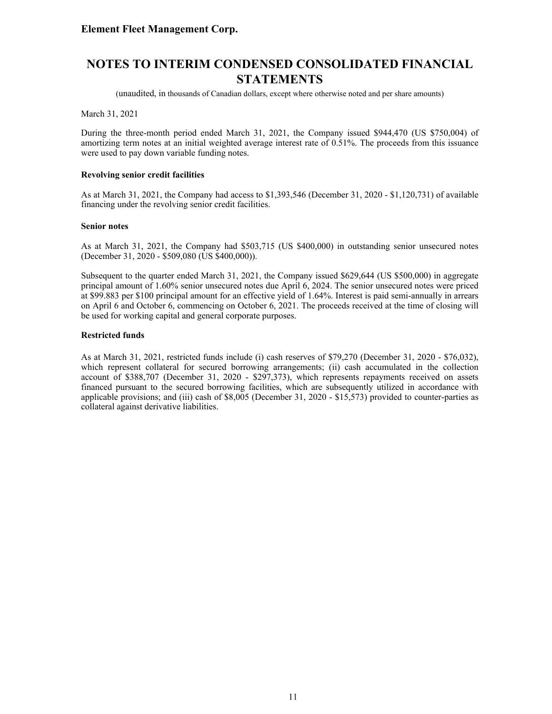(unaudited, in thousands of Canadian dollars, except where otherwise noted and per share amounts)

March 31, 2021

During the three-month period ended March 31, 2021, the Company issued \$944,470 (US \$750,004) of amortizing term notes at an initial weighted average interest rate of 0.51%. The proceeds from this issuance were used to pay down variable funding notes.

#### **Revolving senior credit facilities**

As at March 31, 2021, the Company had access to \$1,393,546 (December 31, 2020 - \$1,120,731) of available financing under the revolving senior credit facilities.

#### **Senior notes**

As at March 31, 2021, the Company had \$503,715 (US \$400,000) in outstanding senior unsecured notes (December 31, 2020 - \$509,080 (US \$400,000)).

Subsequent to the quarter ended March 31, 2021, the Company issued \$629,644 (US \$500,000) in aggregate principal amount of 1.60% senior unsecured notes due April 6, 2024. The senior unsecured notes were priced at \$99.883 per \$100 principal amount for an effective yield of 1.64%. Interest is paid semi-annually in arrears on April 6 and October 6, commencing on October 6, 2021. The proceeds received at the time of closing will be used for working capital and general corporate purposes.

#### **Restricted funds**

As at March 31, 2021, restricted funds include (i) cash reserves of \$79,270 (December 31, 2020 - \$76,032), which represent collateral for secured borrowing arrangements; (ii) cash accumulated in the collection account of \$388,707 (December 31, 2020 - \$297,373), which represents repayments received on assets financed pursuant to the secured borrowing facilities, which are subsequently utilized in accordance with applicable provisions; and (iii) cash of \$8,005 (December 31, 2020 - \$15,573) provided to counter-parties as collateral against derivative liabilities.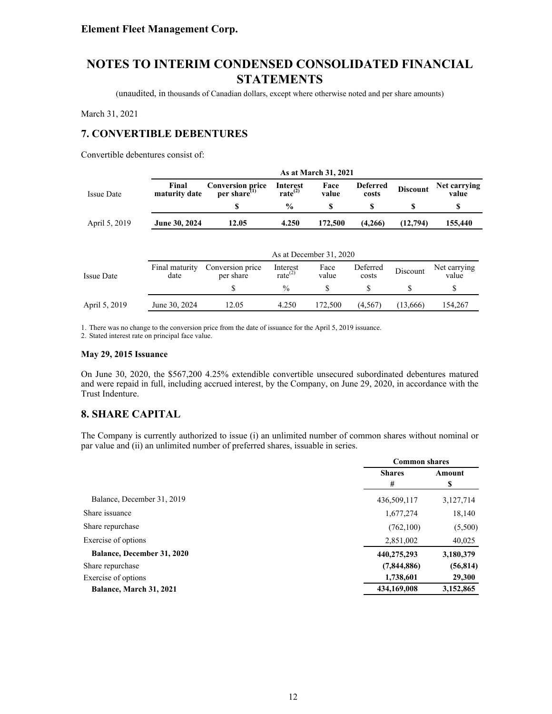(unaudited, in thousands of Canadian dollars, except where otherwise noted and per share amounts)

March 31, 2021

### **7. CONVERTIBLE DEBENTURES**

Convertible debentures consist of:

|                   |                        |                                               |                                        | As at March 31, 2021    |                          |                 |                       |
|-------------------|------------------------|-----------------------------------------------|----------------------------------------|-------------------------|--------------------------|-----------------|-----------------------|
| <b>Issue Date</b> | Final<br>maturity date | <b>Conversion price</b><br>per share $^{(1)}$ | <b>Interest</b><br>rate <sup>(2)</sup> | Face<br>value           | <b>Deferred</b><br>costs | <b>Discount</b> | Net carrying<br>value |
|                   |                        | S                                             | $\frac{0}{0}$                          | \$                      | \$                       | S               | \$                    |
| April 5, 2019     | June 30, 2024          | 12.05                                         | 4.250                                  | 172,500                 | (4,266)                  | (12,794)        | 155,440               |
|                   |                        |                                               |                                        |                         |                          |                 |                       |
|                   |                        |                                               |                                        | As at December 31, 2020 |                          |                 |                       |
| <b>Issue Date</b> | Final maturity<br>date | Conversion price<br>per share                 | Interest<br>rate $^{(2)}$              | Face<br>value           | Deferred<br>costs        | Discount        | Net carrying<br>value |
|                   |                        | \$                                            | $\%$                                   | \$                      | \$                       | \$              | \$                    |
| April 5, 2019     | June 30, 2024          | 12.05                                         | 4.250                                  | 172,500                 | (4,567)                  | (13,666)        | 154,267               |

1. There was no change to the conversion price from the date of issuance for the April 5, 2019 issuance.

2. Stated interest rate on principal face value.

#### **May 29, 2015 Issuance**

On June 30, 2020, the \$567,200 4.25% extendible convertible unsecured subordinated debentures matured and were repaid in full, including accrued interest, by the Company, on June 29, 2020, in accordance with the Trust Indenture.

### **8. SHARE CAPITAL**

The Company is currently authorized to issue (i) an unlimited number of common shares without nominal or par value and (ii) an unlimited number of preferred shares, issuable in series.

|                                   | <b>Common shares</b> |             |
|-----------------------------------|----------------------|-------------|
|                                   | <b>Shares</b><br>#   | Amount<br>S |
| Balance, December 31, 2019        | 436,509,117          | 3,127,714   |
| Share issuance                    | 1,677,274            | 18,140      |
| Share repurchase                  | (762, 100)           | (5,500)     |
| Exercise of options               | 2,851,002            | 40,025      |
| <b>Balance, December 31, 2020</b> | 440,275,293          | 3,180,379   |
| Share repurchase                  | (7,844,886)          | (56, 814)   |
| Exercise of options               | 1,738,601            | 29,300      |
| Balance, March 31, 2021           | 434,169,008          | 3,152,865   |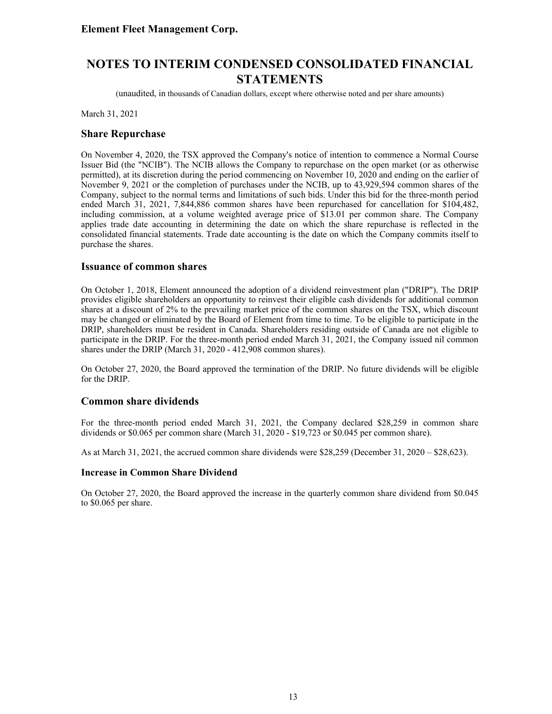(unaudited, in thousands of Canadian dollars, except where otherwise noted and per share amounts)

March 31, 2021

### **Share Repurchase**

On November 4, 2020, the TSX approved the Company's notice of intention to commence a Normal Course Issuer Bid (the "NCIB"). The NCIB allows the Company to repurchase on the open market (or as otherwise permitted), at its discretion during the period commencing on November 10, 2020 and ending on the earlier of November 9, 2021 or the completion of purchases under the NCIB, up to 43,929,594 common shares of the Company, subject to the normal terms and limitations of such bids. Under this bid for the three-month period ended March 31, 2021, 7,844,886 common shares have been repurchased for cancellation for \$104,482, including commission, at a volume weighted average price of \$13.01 per common share. The Company applies trade date accounting in determining the date on which the share repurchase is reflected in the consolidated financial statements. Trade date accounting is the date on which the Company commits itself to purchase the shares.

#### **Issuance of common shares**

On October 1, 2018, Element announced the adoption of a dividend reinvestment plan ("DRIP"). The DRIP provides eligible shareholders an opportunity to reinvest their eligible cash dividends for additional common shares at a discount of 2% to the prevailing market price of the common shares on the TSX, which discount may be changed or eliminated by the Board of Element from time to time. To be eligible to participate in the DRIP, shareholders must be resident in Canada. Shareholders residing outside of Canada are not eligible to participate in the DRIP. For the three-month period ended March 31, 2021, the Company issued nil common shares under the DRIP (March 31, 2020 - 412,908 common shares).

On October 27, 2020, the Board approved the termination of the DRIP. No future dividends will be eligible for the DRIP.

### **Common share dividends**

For the three-month period ended March 31, 2021, the Company declared \$28,259 in common share dividends or \$0.065 per common share (March 31, 2020 - \$19,723 or \$0.045 per common share).

As at March 31, 2021, the accrued common share dividends were \$28,259 (December 31, 2020 – \$28,623).

#### **Increase in Common Share Dividend**

On October 27, 2020, the Board approved the increase in the quarterly common share dividend from \$0.045 to \$0.065 per share.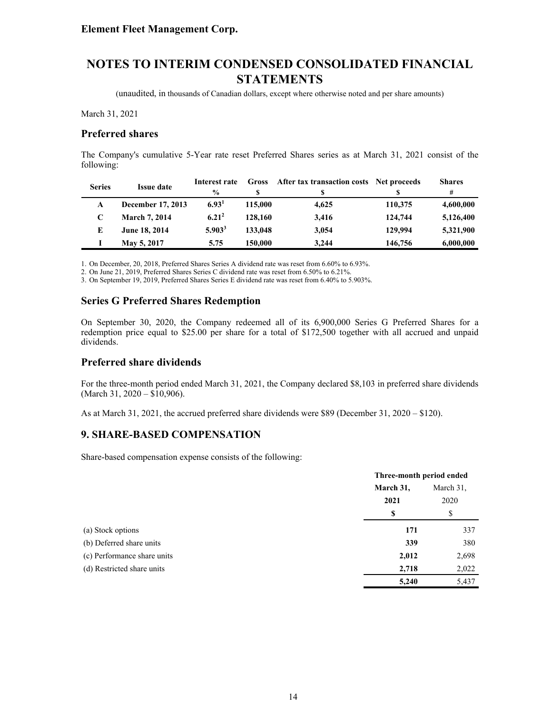(unaudited, in thousands of Canadian dollars, except where otherwise noted and per share amounts)

March 31, 2021

### **Preferred shares**

The Company's cumulative 5-Year rate reset Preferred Shares series as at March 31, 2021 consist of the following:

| <b>Series</b> | <b>Issue date</b>    | Interest rate     | <b>Gross</b> | After tax transaction costs Net proceeds |         | <b>Shares</b> |
|---------------|----------------------|-------------------|--------------|------------------------------------------|---------|---------------|
|               |                      | $\frac{0}{0}$     |              | S                                        |         | #             |
| A             | December 17, 2013    | 6.93 <sup>1</sup> | 115,000      | 4.625                                    | 110,375 | 4,600,000     |
|               | <b>March 7, 2014</b> | $6.21^{2}$        | 128,160      | 3.416                                    | 124,744 | 5,126,400     |
| E             | June 18, 2014        | $5.903^3$         | 133,048      | 3,054                                    | 129,994 | 5,321,900     |
|               | May 5, 2017          | 5.75              | 150,000      | 3.244                                    | 146,756 | 6,000,000     |

1. On December, 20, 2018, Preferred Shares Series A dividend rate was reset from 6.60% to 6.93%.

2. On June 21, 2019, Preferred Shares Series C dividend rate was reset from 6.50% to 6.21%.

3. On September 19, 2019, Preferred Shares Series E dividend rate was reset from 6.40% to 5.903%.

### **Series G Preferred Shares Redemption**

On September 30, 2020, the Company redeemed all of its 6,900,000 Series G Preferred Shares for a redemption price equal to \$25.00 per share for a total of \$172,500 together with all accrued and unpaid dividends.

### **Preferred share dividends**

For the three-month period ended March 31, 2021, the Company declared \$8,103 in preferred share dividends (March 31, 2020 – \$10,906).

As at March 31, 2021, the accrued preferred share dividends were \$89 (December 31, 2020 – \$120).

### **9. SHARE-BASED COMPENSATION**

Share-based compensation expense consists of the following:

|                             |           | Three-month period ended |  |
|-----------------------------|-----------|--------------------------|--|
|                             | March 31, | March 31.<br>2020        |  |
|                             | 2021      |                          |  |
|                             | S         | \$                       |  |
| (a) Stock options           | 171       | 337                      |  |
| (b) Deferred share units    | 339       | 380                      |  |
| (c) Performance share units | 2,012     | 2,698                    |  |
| (d) Restricted share units  | 2,718     | 2,022                    |  |
|                             | 5,240     | 5,437                    |  |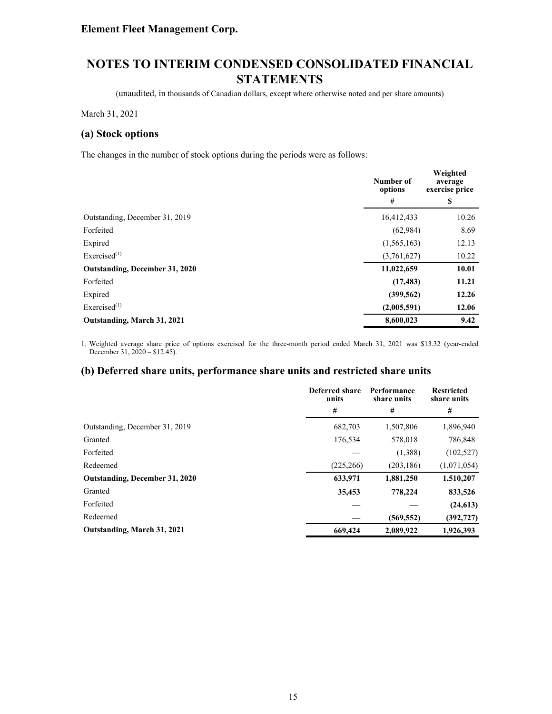(unaudited, in thousands of Canadian dollars, except where otherwise noted and per share amounts)

March 31, 2021

### **(a) Stock options**

The changes in the number of stock options during the periods were as follows:

|                                | Number of<br>options | Weighted<br>average<br>exercise price |  |
|--------------------------------|----------------------|---------------------------------------|--|
|                                | #                    | \$                                    |  |
| Outstanding, December 31, 2019 | 16,412,433           | 10.26                                 |  |
| Forfeited                      | (62,984)             | 8.69                                  |  |
| Expired                        | (1, 565, 163)        | 12.13                                 |  |
| Exercised $^{(1)}$             | (3,761,627)          | 10.22                                 |  |
| Outstanding, December 31, 2020 | 11,022,659           | 10.01                                 |  |
| Forfeited                      | (17, 483)            | 11.21                                 |  |
| Expired                        | (399, 562)           | 12.26                                 |  |
| Exercised $(1)$                | (2,005,591)          | 12.06                                 |  |
| Outstanding, March 31, 2021    | 8,600,023            | 9.42                                  |  |

1. Weighted average share price of options exercised for the three-month period ended March 31, 2021 was \$13.32 (year-ended December 31,  $2020 - $12.45$ ).

### **(b) Deferred share units, performance share units and restricted share units**

|                                       | Deferred share<br>units | Performance<br>share units | <b>Restricted</b><br>share units |
|---------------------------------------|-------------------------|----------------------------|----------------------------------|
|                                       | #                       | #                          | #                                |
| Outstanding, December 31, 2019        | 682,703                 | 1,507,806                  | 1,896,940                        |
| Granted                               | 176,534                 | 578,018                    | 786,848                          |
| Forfeited                             |                         | (1,388)                    | (102, 527)                       |
| Redeemed                              | (225, 266)              | (203, 186)                 | (1,071,054)                      |
| <b>Outstanding, December 31, 2020</b> | 633,971                 | 1,881,250                  | 1,510,207                        |
| Granted                               | 35,453                  | 778,224                    | 833,526                          |
| Forfeited                             |                         |                            | (24, 613)                        |
| Redeemed                              |                         | (569, 552)                 | (392, 727)                       |
| Outstanding, March 31, 2021           | 669,424                 | 2,089,922                  | 1,926,393                        |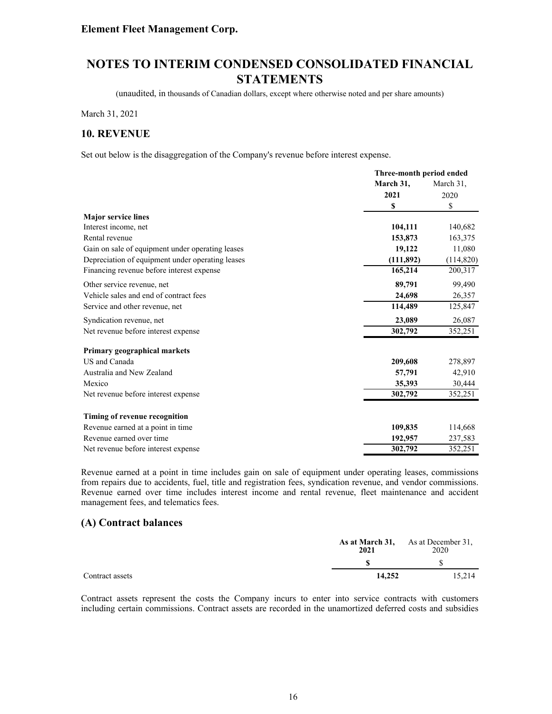# **NOTES TO INTERIM CONDENSED CONSOLIDATED FINANCIAL STATEMENTS**

(unaudited, in thousands of Canadian dollars, except where otherwise noted and per share amounts)

March 31, 2021

#### **10. REVENUE**

Set out below is the disaggregation of the Company's revenue before interest expense.

|                                                  | Three-month period ended |            |
|--------------------------------------------------|--------------------------|------------|
|                                                  | March 31,                | March 31,  |
|                                                  | 2021                     | 2020       |
|                                                  | S                        | \$         |
| <b>Major service lines</b>                       |                          |            |
| Interest income, net                             | 104,111                  | 140,682    |
| Rental revenue                                   | 153,873                  | 163,375    |
| Gain on sale of equipment under operating leases | 19,122                   | 11,080     |
| Depreciation of equipment under operating leases | (111, 892)               | (114, 820) |
| Financing revenue before interest expense        | 165,214                  | 200,317    |
| Other service revenue, net                       | 89,791                   | 99,490     |
| Vehicle sales and end of contract fees           | 24,698                   | 26,357     |
| Service and other revenue, net                   | 114,489                  | 125,847    |
| Syndication revenue, net                         | 23,089                   | 26,087     |
| Net revenue before interest expense              | 302,792                  | 352,251    |
| Primary geographical markets                     |                          |            |
| US and Canada                                    | 209,608                  | 278,897    |
| Australia and New Zealand                        | 57,791                   | 42,910     |
| Mexico                                           | 35,393                   | 30,444     |
| Net revenue before interest expense              | 302,792                  | 352,251    |
| Timing of revenue recognition                    |                          |            |
| Revenue earned at a point in time                | 109,835                  | 114,668    |
| Revenue earned over time                         | 192,957                  | 237,583    |
| Net revenue before interest expense              | 302,792                  | 352,251    |

Revenue earned at a point in time includes gain on sale of equipment under operating leases, commissions from repairs due to accidents, fuel, title and registration fees, syndication revenue, and vendor commissions. Revenue earned over time includes interest income and rental revenue, fleet maintenance and accident management fees, and telematics fees.

#### **(A) Contract balances**

|                 | 2021   | As at March 31, As at December 31,<br>2020 |
|-----------------|--------|--------------------------------------------|
|                 |        |                                            |
| Contract assets | 14.252 | 15.214                                     |

Contract assets represent the costs the Company incurs to enter into service contracts with customers including certain commissions. Contract assets are recorded in the unamortized deferred costs and subsidies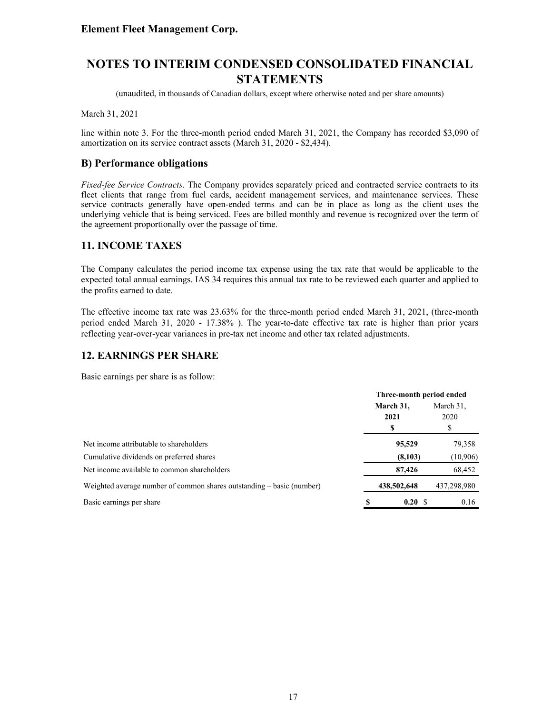(unaudited, in thousands of Canadian dollars, except where otherwise noted and per share amounts)

March 31, 2021

line within note 3. For the three-month period ended March 31, 2021, the Company has recorded \$3,090 of amortization on its service contract assets (March 31, 2020 - \$2,434).

### **B) Performance obligations**

*Fixed-fee Service Contracts.* The Company provides separately priced and contracted service contracts to its fleet clients that range from fuel cards, accident management services, and maintenance services. These service contracts generally have open-ended terms and can be in place as long as the client uses the underlying vehicle that is being serviced. Fees are billed monthly and revenue is recognized over the term of the agreement proportionally over the passage of time.

### **11. INCOME TAXES**

The Company calculates the period income tax expense using the tax rate that would be applicable to the expected total annual earnings. IAS 34 requires this annual tax rate to be reviewed each quarter and applied to the profits earned to date.

The effective income tax rate was 23.63% for the three-month period ended March 31, 2021, (three-month period ended March 31, 2020 - 17.38% ). The year-to-date effective tax rate is higher than prior years reflecting year-over-year variances in pre-tax net income and other tax related adjustments.

### **12. EARNINGS PER SHARE**

Basic earnings per share is as follow:

|                                                                       | Three-month period ended |             |           |             |
|-----------------------------------------------------------------------|--------------------------|-------------|-----------|-------------|
|                                                                       | March 31,                |             | March 31, |             |
|                                                                       |                          | 2021        |           | 2020        |
|                                                                       |                          | \$          |           | S           |
| Net income attributable to shareholders                               |                          | 95,529      |           | 79,358      |
| Cumulative dividends on preferred shares                              |                          | (8,103)     |           | (10, 906)   |
| Net income available to common shareholders                           |                          | 87,426      |           | 68,452      |
| Weighted average number of common shares outstanding – basic (number) |                          | 438,502,648 |           | 437,298,980 |
| Basic earnings per share                                              |                          | 0.20 S      |           | 0.16        |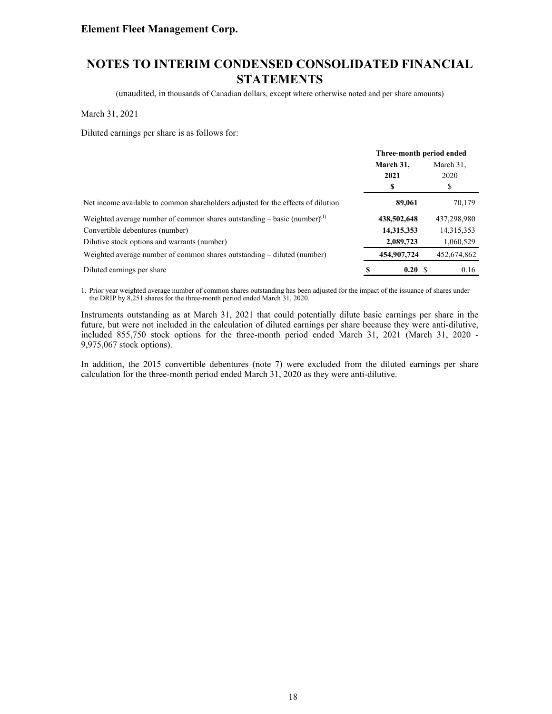# **NOTES TO INTERIM CONDENSED CONSOLIDATED FINANCIAL STATEMENTS**

(unaudited, in thousands of Canadian dollars, except where otherwise noted and per share amounts)

March 31, 2021

Diluted earnings per share is as follows for:

|                                                                                      | Three-month period ended |             |           |             |
|--------------------------------------------------------------------------------------|--------------------------|-------------|-----------|-------------|
|                                                                                      | March 31,                |             | March 31, |             |
|                                                                                      |                          | 2021        |           | 2020        |
|                                                                                      |                          | S           |           | ъ           |
| Net income available to common shareholders adjusted for the effects of dilution     |                          | 89,061      |           | 70,179      |
| Weighted average number of common shares outstanding – basic (number) <sup>(1)</sup> |                          | 438,502,648 |           | 437,298,980 |
| Convertible debentures (number)                                                      |                          | 14,315,353  |           | 14,315,353  |
| Dilutive stock options and warrants (number)                                         |                          | 2,089,723   |           | 1,060,529   |
| Weighted average number of common shares outstanding – diluted (number)              |                          | 454,907,724 |           | 452,674,862 |
| Diluted earnings per share                                                           |                          | 0.20 S      |           | 0.16        |

1. Prior year weighted average number of common shares outstanding has been adjusted for the impact of the issuance of shares under the DRIP by 8,251 shares for the three-month period ended March 31, 2020.

Instruments outstanding as at March 31, 2021 that could potentially dilute basic earnings per share in the future, but were not included in the calculation of diluted earnings per share because they were anti-dilutive, included 855,750 stock options for the three-month period ended March 31, 2021 (March 31, 2020 - 9,975,067 stock options).

In addition, the 2015 convertible debentures (note 7) were excluded from the diluted earnings per share calculation for the three-month period ended March 31, 2020 as they were anti-dilutive.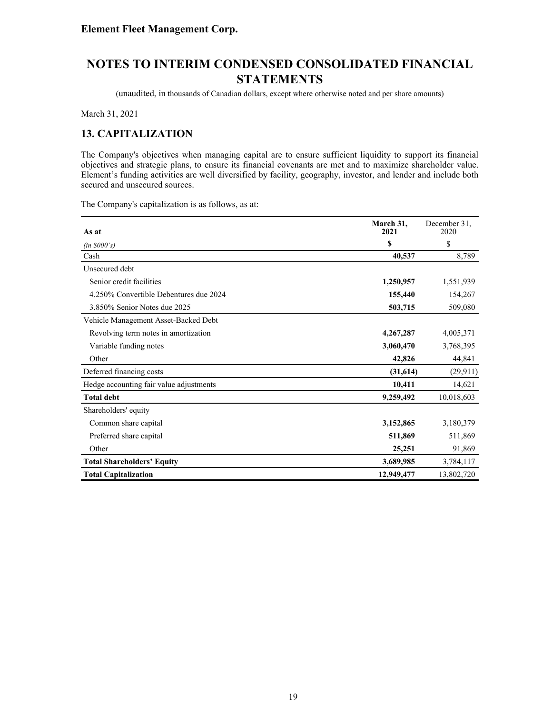(unaudited, in thousands of Canadian dollars, except where otherwise noted and per share amounts)

March 31, 2021

### **13. CAPITALIZATION**

The Company's objectives when managing capital are to ensure sufficient liquidity to support its financial objectives and strategic plans, to ensure its financial covenants are met and to maximize shareholder value. Element's funding activities are well diversified by facility, geography, investor, and lender and include both secured and unsecured sources.

The Company's capitalization is as follows, as at:

| As at                                   | March 31,<br>2021 | December 31.<br>2020 |
|-----------------------------------------|-------------------|----------------------|
| (in \$000's)                            | \$                | \$                   |
| Cash                                    | 40,537            | 8,789                |
| Unsecured debt                          |                   |                      |
| Senior credit facilities                | 1,250,957         | 1,551,939            |
| 4.250% Convertible Debentures due 2024  | 155,440           | 154,267              |
| 3.850% Senior Notes due 2025            | 503,715           | 509,080              |
| Vehicle Management Asset-Backed Debt    |                   |                      |
| Revolving term notes in amortization    | 4,267,287         | 4,005,371            |
| Variable funding notes                  | 3,060,470         | 3,768,395            |
| Other                                   | 42,826            | 44,841               |
| Deferred financing costs                | (31,614)          | (29, 911)            |
| Hedge accounting fair value adjustments | 10,411            | 14,621               |
| <b>Total debt</b>                       | 9,259,492         | 10,018,603           |
| Shareholders' equity                    |                   |                      |
| Common share capital                    | 3,152,865         | 3,180,379            |
| Preferred share capital                 | 511,869           | 511,869              |
| Other                                   | 25,251            | 91,869               |
| <b>Total Shareholders' Equity</b>       | 3,689,985         | 3,784,117            |
| <b>Total Capitalization</b>             | 12,949,477        | 13,802,720           |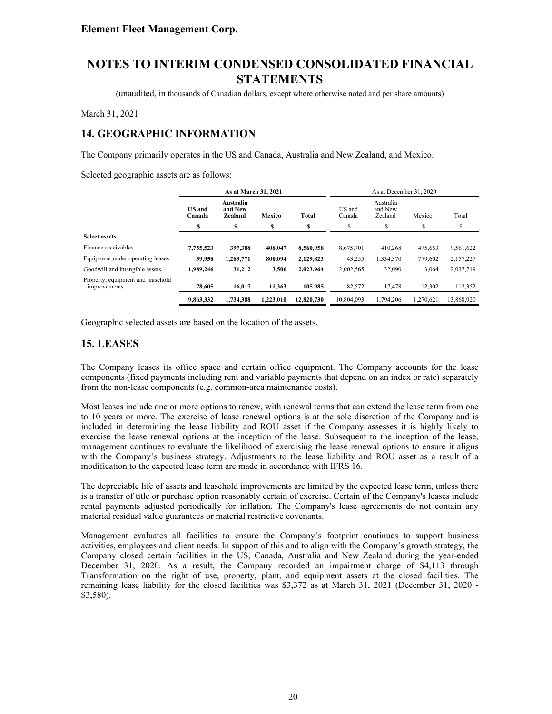(unaudited, in thousands of Canadian dollars, except where otherwise noted and per share amounts)

March 31, 2021

### **14. GEOGRAPHIC INFORMATION**

The Company primarily operates in the US and Canada, Australia and New Zealand, and Mexico.

Selected geographic assets are as follows:

|                                                   | As at March 31, 2021                                                                 |           |                  |                                 |            | As at December 31, 2020 |           |            |
|---------------------------------------------------|--------------------------------------------------------------------------------------|-----------|------------------|---------------------------------|------------|-------------------------|-----------|------------|
|                                                   | Australia<br><b>US</b> and<br>and New<br>Mexico<br><b>Total</b><br>Zealand<br>Canada |           | US and<br>Canada | Australia<br>and New<br>Zealand | Mexico     | Total                   |           |            |
|                                                   | S                                                                                    | S         | S                | \$                              | S          | ¢                       | \$        | S          |
| <b>Select assets</b>                              |                                                                                      |           |                  |                                 |            |                         |           |            |
| Finance receivables                               | 7,755,523                                                                            | 397.388   | 408.047          | 8.560.958                       | 8,675,701  | 410,268                 | 475,653   | 9,561,622  |
| Equipment under operating leases                  | 39,958                                                                               | 1,289,771 | 800.094          | 2,129,823                       | 43,255     | 1,334,370               | 779.602   | 2,157,227  |
| Goodwill and intangible assets                    | 1,989,246                                                                            | 31,212    | 3,506            | 2,023,964                       | 2,002,565  | 32,090                  | 3,064     | 2,037,719  |
| Property, equipment and leasehold<br>improvements | 78.605                                                                               | 16.017    | 11.363           | 105,985                         | 82,572     | 17.478                  | 12,302    | 112,352    |
|                                                   | 9,863,332                                                                            | 1.734.388 | 1.223.010        | 12,820,730                      | 10.804.093 | 1.794.206               | 1.270.621 | 13,868,920 |

Geographic selected assets are based on the location of the assets.

### **15. LEASES**

The Company leases its office space and certain office equipment. The Company accounts for the lease components (fixed payments including rent and variable payments that depend on an index or rate) separately from the non-lease components (e.g. common-area maintenance costs).

Most leases include one or more options to renew, with renewal terms that can extend the lease term from one to 10 years or more. The exercise of lease renewal options is at the sole discretion of the Company and is included in determining the lease liability and ROU asset if the Company assesses it is highly likely to exercise the lease renewal options at the inception of the lease. Subsequent to the inception of the lease, management continues to evaluate the likelihood of exercising the lease renewal options to ensure it aligns with the Company's business strategy. Adjustments to the lease liability and ROU asset as a result of a modification to the expected lease term are made in accordance with IFRS 16.

The depreciable life of assets and leasehold improvements are limited by the expected lease term, unless there is a transfer of title or purchase option reasonably certain of exercise. Certain of the Company's leases include rental payments adjusted periodically for inflation. The Company's lease agreements do not contain any material residual value guarantees or material restrictive covenants.

Management evaluates all facilities to ensure the Company's footprint continues to support business activities, employees and client needs. In support of this and to align with the Company's growth strategy, the Company closed certain facilities in the US, Canada, Australia and New Zealand during the year-ended December 31, 2020. As a result, the Company recorded an impairment charge of \$4,113 through Transformation on the right of use, property, plant, and equipment assets at the closed facilities. The remaining lease liability for the closed facilities was \$3,372 as at March 31, 2021 (December 31, 2020 - \$3,580).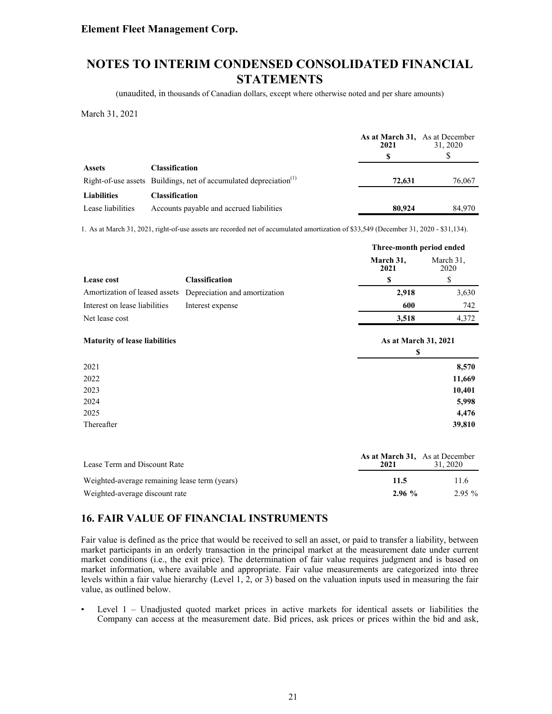# **NOTES TO INTERIM CONDENSED CONSOLIDATED FINANCIAL STATEMENTS**

(unaudited, in thousands of Canadian dollars, except where otherwise noted and per share amounts)

March 31, 2021

|                    |                                                                               | As at March 31, As at December<br>2021 | 31, 2020 |
|--------------------|-------------------------------------------------------------------------------|----------------------------------------|----------|
|                    |                                                                               |                                        |          |
| <b>Assets</b>      | <b>Classification</b>                                                         |                                        |          |
|                    | Right-of-use assets Buildings, net of accumulated depreciation <sup>(1)</sup> | 72.631                                 | 76,067   |
| <b>Liabilities</b> | Classification                                                                |                                        |          |
| Lease liabilities  | Accounts payable and accrued liabilities                                      | 80,924                                 | 84.970   |

1. As at March 31, 2021, right-of-use assets are recorded net of accumulated amortization of \$33,549 (December 31, 2020 - \$31,134).

|                                      |                               | Three-month period ended   |                   |  |
|--------------------------------------|-------------------------------|----------------------------|-------------------|--|
|                                      |                               | March 31,<br>2021          | March 31,<br>2020 |  |
| Lease cost                           | <b>Classification</b>         | \$                         | \$                |  |
| Amortization of leased assets        | Depreciation and amortization | 2,918                      | 3,630             |  |
| Interest on lease liabilities        | Interest expense              | 600                        | 742               |  |
| Net lease cost                       |                               | 3,518                      | 4,372             |  |
| <b>Maturity of lease liabilities</b> |                               | As at March 31, 2021<br>\$ |                   |  |
| 2021                                 |                               |                            | 8,570             |  |
| 2022                                 |                               |                            | 11,669            |  |
| 2023                                 |                               |                            | 10,401            |  |
| 2024                                 |                               |                            | 5,998             |  |
| 2025                                 |                               |                            | 4,476             |  |
| Thereafter                           |                               |                            | 39,810            |  |
|                                      |                               |                            |                   |  |

| Lease Term and Discount Rate                  | As at March 31, As at December<br>2021 | 31.2020  |
|-----------------------------------------------|----------------------------------------|----------|
| Weighted-average remaining lease term (years) | 11.5                                   | 11.6     |
| Weighted-average discount rate                | 2.96%                                  | $2.95\%$ |

### **16. FAIR VALUE OF FINANCIAL INSTRUMENTS**

Fair value is defined as the price that would be received to sell an asset, or paid to transfer a liability, between market participants in an orderly transaction in the principal market at the measurement date under current market conditions (i.e., the exit price). The determination of fair value requires judgment and is based on market information, where available and appropriate. Fair value measurements are categorized into three levels within a fair value hierarchy (Level 1, 2, or 3) based on the valuation inputs used in measuring the fair value, as outlined below.

• Level 1 – Unadjusted quoted market prices in active markets for identical assets or liabilities the Company can access at the measurement date. Bid prices, ask prices or prices within the bid and ask,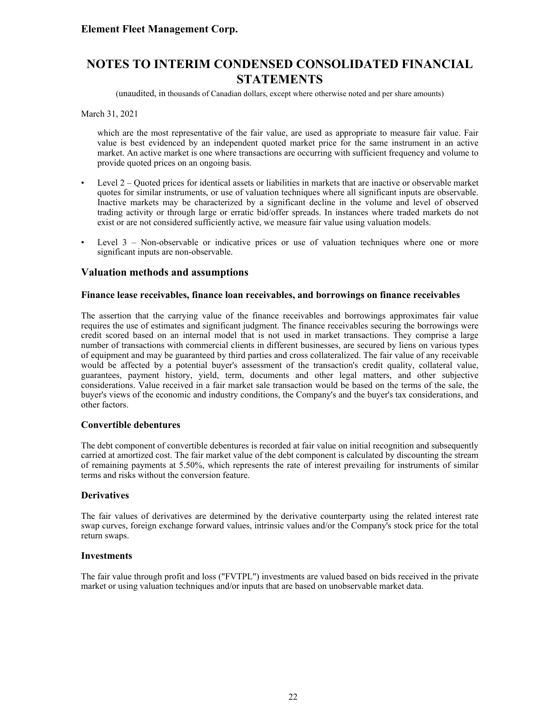(unaudited, in thousands of Canadian dollars, except where otherwise noted and per share amounts)

March 31, 2021

which are the most representative of the fair value, are used as appropriate to measure fair value. Fair value is best evidenced by an independent quoted market price for the same instrument in an active market. An active market is one where transactions are occurring with sufficient frequency and volume to provide quoted prices on an ongoing basis.

- Level 2 Quoted prices for identical assets or liabilities in markets that are inactive or observable market quotes for similar instruments, or use of valuation techniques where all significant inputs are observable. Inactive markets may be characterized by a significant decline in the volume and level of observed trading activity or through large or erratic bid/offer spreads. In instances where traded markets do not exist or are not considered sufficiently active, we measure fair value using valuation models.
- Level 3 Non-observable or indicative prices or use of valuation techniques where one or more significant inputs are non-observable.

### **Valuation methods and assumptions**

#### **Finance lease receivables, finance loan receivables, and borrowings on finance receivables**

The assertion that the carrying value of the finance receivables and borrowings approximates fair value requires the use of estimates and significant judgment. The finance receivables securing the borrowings were credit scored based on an internal model that is not used in market transactions. They comprise a large number of transactions with commercial clients in different businesses, are secured by liens on various types of equipment and may be guaranteed by third parties and cross collateralized. The fair value of any receivable would be affected by a potential buyer's assessment of the transaction's credit quality, collateral value, guarantees, payment history, yield, term, documents and other legal matters, and other subjective considerations. Value received in a fair market sale transaction would be based on the terms of the sale, the buyer's views of the economic and industry conditions, the Company's and the buyer's tax considerations, and other factors.

#### **Convertible debentures**

The debt component of convertible debentures is recorded at fair value on initial recognition and subsequently carried at amortized cost. The fair market value of the debt component is calculated by discounting the stream of remaining payments at 5.50%, which represents the rate of interest prevailing for instruments of similar terms and risks without the conversion feature.

#### **Derivatives**

The fair values of derivatives are determined by the derivative counterparty using the related interest rate swap curves, foreign exchange forward values, intrinsic values and/or the Company's stock price for the total return swaps.

#### **Investments**

The fair value through profit and loss ("FVTPL") investments are valued based on bids received in the private market or using valuation techniques and/or inputs that are based on unobservable market data.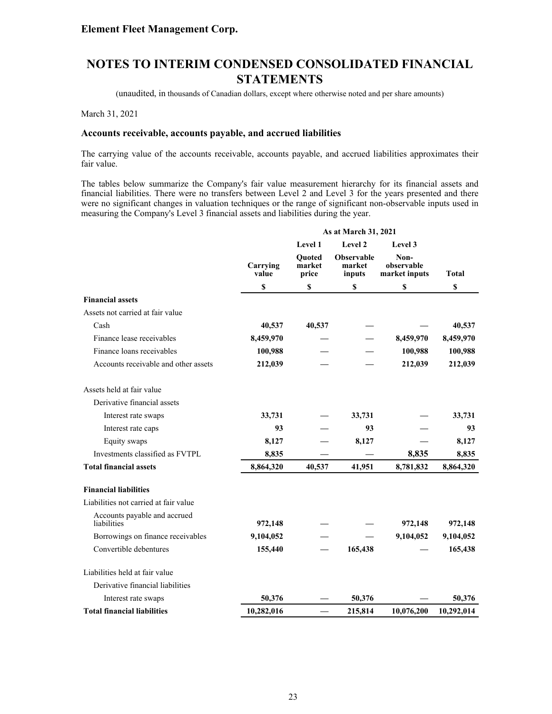(unaudited, in thousands of Canadian dollars, except where otherwise noted and per share amounts)

March 31, 2021

#### **Accounts receivable, accounts payable, and accrued liabilities**

The carrying value of the accounts receivable, accounts payable, and accrued liabilities approximates their fair value.

The tables below summarize the Company's fair value measurement hierarchy for its financial assets and financial liabilities. There were no transfers between Level 2 and Level 3 for the years presented and there were no significant changes in valuation techniques or the range of significant non-observable inputs used in measuring the Company's Level 3 financial assets and liabilities during the year.

|                                             |                   |                                  | As at March 31, 2021           |                                     |                           |
|---------------------------------------------|-------------------|----------------------------------|--------------------------------|-------------------------------------|---------------------------|
|                                             |                   | Level 1                          | Level 2                        | Level 3                             |                           |
|                                             | Carrying<br>value | <b>Ouoted</b><br>market<br>price | Observable<br>market<br>inputs | Non-<br>observable<br>market inputs | <b>Total</b>              |
|                                             | \$                | \$                               | \$                             | \$                                  | $\boldsymbol{\mathsf{S}}$ |
| <b>Financial assets</b>                     |                   |                                  |                                |                                     |                           |
| Assets not carried at fair value            |                   |                                  |                                |                                     |                           |
| Cash                                        | 40,537            | 40,537                           |                                |                                     | 40,537                    |
| Finance lease receivables                   | 8,459,970         |                                  |                                | 8,459,970                           | 8,459,970                 |
| Finance loans receivables                   | 100,988           |                                  |                                | 100,988                             | 100,988                   |
| Accounts receivable and other assets        | 212,039           |                                  |                                | 212,039                             | 212,039                   |
| Assets held at fair value                   |                   |                                  |                                |                                     |                           |
| Derivative financial assets                 |                   |                                  |                                |                                     |                           |
| Interest rate swaps                         | 33,731            |                                  | 33,731                         |                                     | 33,731                    |
| Interest rate caps                          | 93                |                                  | 93                             |                                     | 93                        |
| Equity swaps                                | 8,127             |                                  | 8,127                          |                                     | 8,127                     |
| Investments classified as FVTPL             | 8,835             |                                  |                                | 8,835                               | 8,835                     |
| <b>Total financial assets</b>               | 8,864,320         | 40,537                           | 41,951                         | 8,781,832                           | 8,864,320                 |
| <b>Financial liabilities</b>                |                   |                                  |                                |                                     |                           |
| Liabilities not carried at fair value       |                   |                                  |                                |                                     |                           |
| Accounts payable and accrued<br>liabilities | 972,148           |                                  |                                | 972,148                             | 972,148                   |
| Borrowings on finance receivables           | 9,104,052         |                                  |                                | 9,104,052                           | 9,104,052                 |
| Convertible debentures                      | 155,440           |                                  | 165,438                        |                                     | 165,438                   |
| Liabilities held at fair value              |                   |                                  |                                |                                     |                           |
| Derivative financial liabilities            |                   |                                  |                                |                                     |                           |
| Interest rate swaps                         | 50,376            |                                  | 50.376                         |                                     | 50,376                    |
| <b>Total financial liabilities</b>          | 10,282,016        |                                  | 215,814                        | 10,076,200                          | 10,292,014                |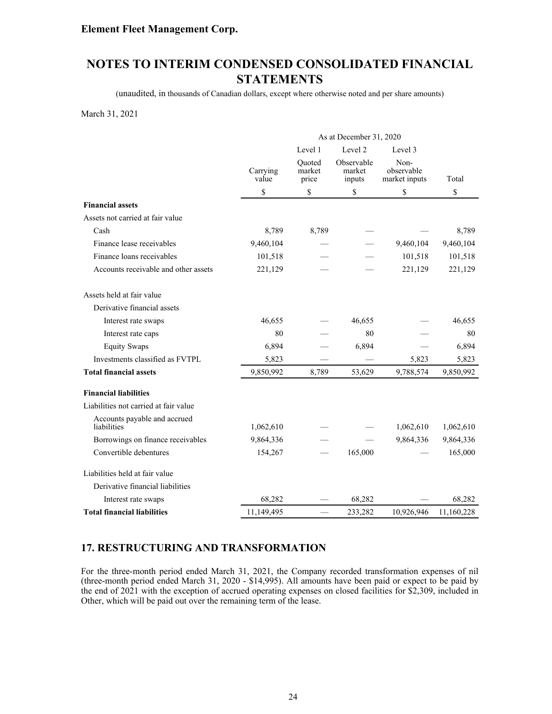# **NOTES TO INTERIM CONDENSED CONSOLIDATED FINANCIAL STATEMENTS**

(unaudited, in thousands of Canadian dollars, except where otherwise noted and per share amounts)

March 31, 2021

|                                             |                   |                           | As at December 31, 2020        |                                     |            |
|---------------------------------------------|-------------------|---------------------------|--------------------------------|-------------------------------------|------------|
|                                             |                   | Level 1                   | Level 2                        | Level 3                             |            |
|                                             | Carrying<br>value | Ouoted<br>market<br>price | Observable<br>market<br>inputs | Non-<br>observable<br>market inputs | Total      |
|                                             | \$                | \$                        | \$                             | \$                                  | \$         |
| <b>Financial assets</b>                     |                   |                           |                                |                                     |            |
| Assets not carried at fair value            |                   |                           |                                |                                     |            |
| Cash                                        | 8,789             | 8,789                     |                                |                                     | 8,789      |
| Finance lease receivables                   | 9,460,104         |                           |                                | 9,460,104                           | 9,460,104  |
| Finance loans receivables                   | 101,518           |                           |                                | 101,518                             | 101,518    |
| Accounts receivable and other assets        | 221,129           |                           |                                | 221,129                             | 221,129    |
| Assets held at fair value                   |                   |                           |                                |                                     |            |
| Derivative financial assets                 |                   |                           |                                |                                     |            |
| Interest rate swaps                         | 46,655            |                           | 46,655                         |                                     | 46,655     |
| Interest rate caps                          | 80                |                           | 80                             |                                     | 80         |
| <b>Equity Swaps</b>                         | 6,894             |                           | 6,894                          |                                     | 6,894      |
| Investments classified as FVTPL             | 5,823             |                           |                                | 5,823                               | 5,823      |
| <b>Total financial assets</b>               | 9,850,992         | 8,789                     | 53,629                         | 9,788,574                           | 9,850,992  |
| <b>Financial liabilities</b>                |                   |                           |                                |                                     |            |
| Liabilities not carried at fair value       |                   |                           |                                |                                     |            |
| Accounts payable and accrued<br>liabilities | 1,062,610         |                           |                                | 1,062,610                           | 1,062,610  |
| Borrowings on finance receivables           | 9,864,336         |                           |                                | 9,864,336                           | 9,864,336  |
| Convertible debentures                      | 154,267           |                           | 165,000                        |                                     | 165,000    |
| Liabilities held at fair value              |                   |                           |                                |                                     |            |
| Derivative financial liabilities            |                   |                           |                                |                                     |            |
| Interest rate swaps                         | 68,282            |                           | 68,282                         |                                     | 68,282     |
| <b>Total financial liabilities</b>          | 11,149,495        |                           | 233,282                        | 10,926,946                          | 11,160,228 |

### **17. RESTRUCTURING AND TRANSFORMATION**

For the three-month period ended March 31, 2021, the Company recorded transformation expenses of nil (three-month period ended March 31, 2020 - \$14,995). All amounts have been paid or expect to be paid by the end of 2021 with the exception of accrued operating expenses on closed facilities for \$2,309, included in Other, which will be paid out over the remaining term of the lease.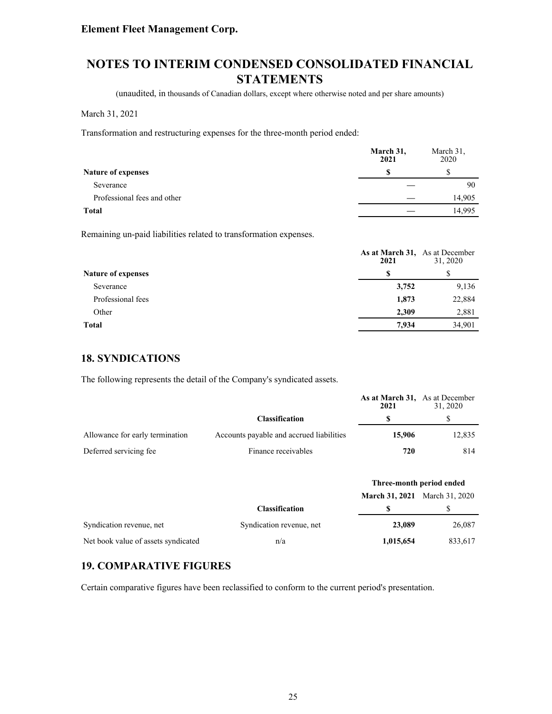# **NOTES TO INTERIM CONDENSED CONSOLIDATED FINANCIAL STATEMENTS**

(unaudited, in thousands of Canadian dollars, except where otherwise noted and per share amounts)

#### March 31, 2021

Transformation and restructuring expenses for the three-month period ended:

|                             | March 31,<br>2021 | March 31,<br>2020 |
|-----------------------------|-------------------|-------------------|
| <b>Nature of expenses</b>   | £.                |                   |
| Severance                   |                   | 90                |
| Professional fees and other |                   | 14,905            |
| Total                       |                   | 14.995            |

Remaining un-paid liabilities related to transformation expenses.

|                           | As at March 31, As at December<br>2021 | 31, 2020 |
|---------------------------|----------------------------------------|----------|
| <b>Nature of expenses</b> | S                                      |          |
| Severance                 | 3,752                                  | 9,136    |
| Professional fees         | 1,873                                  | 22,884   |
| Other                     | 2,309                                  | 2,881    |
| <b>Total</b>              | 7.934                                  | 34,901   |

### **18. SYNDICATIONS**

The following represents the detail of the Company's syndicated assets.

|                                 |                                          | As at March 31, As at December<br>2021 | 31.2020 |
|---------------------------------|------------------------------------------|----------------------------------------|---------|
|                                 | <b>Classification</b>                    |                                        |         |
| Allowance for early termination | Accounts payable and accrued liabilities | 15,906                                 | 12,835  |
| Deferred servicing fee.         | Finance receivables                      | 720                                    | 814     |

|                                     |                          | Three-month period ended             |         |
|-------------------------------------|--------------------------|--------------------------------------|---------|
|                                     |                          | <b>March 31, 2021</b> March 31, 2020 |         |
|                                     | <b>Classification</b>    |                                      |         |
| Syndication revenue, net            | Syndication revenue, net | 23,089                               | 26,087  |
| Net book value of assets syndicated | n/a                      | 1,015,654                            | 833,617 |

### **19. COMPARATIVE FIGURES**

Certain comparative figures have been reclassified to conform to the current period's presentation.